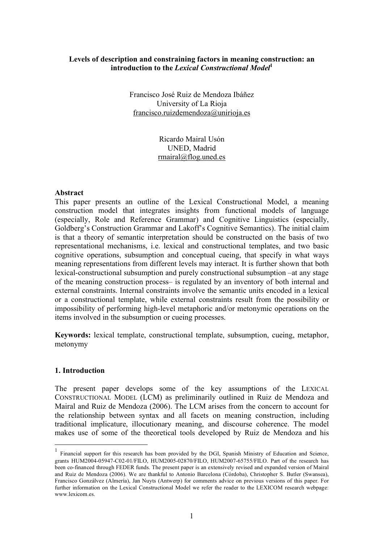### **Levels of description and constraining factors in meaning construction: an introduction to the** *Lexical Constructional Model***<sup>1</sup>**

Francisco José Ruiz de Mendoza Ibáñez University of La Rioja francisco.ruizdemendoza@unirioja.es

> Ricardo Mairal Usón UNED, Madrid rmairal@flog.uned.es

#### **Abstract**

This paper presents an outline of the Lexical Constructional Model, a meaning construction model that integrates insights from functional models of language (especially, Role and Reference Grammar) and Cognitive Linguistics (especially, Goldberg's Construction Grammar and Lakoff's Cognitive Semantics). The initial claim is that a theory of semantic interpretation should be constructed on the basis of two representational mechanisms, i.e. lexical and constructional templates, and two basic cognitive operations, subsumption and conceptual cueing, that specify in what ways meaning representations from different levels may interact. It is further shown that both lexical-constructional subsumption and purely constructional subsumption –at any stage of the meaning construction process– is regulated by an inventory of both internal and external constraints. Internal constraints involve the semantic units encoded in a lexical or a constructional template, while external constraints result from the possibility or impossibility of performing high-level metaphoric and/or metonymic operations on the items involved in the subsumption or cueing processes.

**Keywords:** lexical template, constructional template, subsumption, cueing, metaphor, metonymy

#### **1. Introduction**

The present paper develops some of the key assumptions of the LEXICAL CONSTRUCTIONAL MODEL (LCM) as preliminarily outlined in Ruiz de Mendoza and Mairal and Ruiz de Mendoza (2006). The LCM arises from the concern to account for the relationship between syntax and all facets on meaning construction, including traditional implicature, illocutionary meaning, and discourse coherence. The model makes use of some of the theoretical tools developed by Ruiz de Mendoza and his

 <sup>1</sup> Financial support for this research has been provided by the DGI, Spanish Ministry of Education and Science, grants HUM2004-05947-C02-01/FILO, HUM2005-02870/FILO, HUM2007-65755/FILO. Part of the research has been co-financed through FEDER funds. The present paper is an extensively revised and expanded version of Mairal and Ruiz de Mendoza (2006). We are thankful to Antonio Barcelona (Córdoba), Christopher S. Butler (Swansea), Francisco Gonzálvez (Almería), Jan Nuyts (Antwerp) for comments advice on previous versions of this paper. For further information on the Lexical Constructional Model we refer the reader to the LEXICOM research webpage: www.lexicom.es.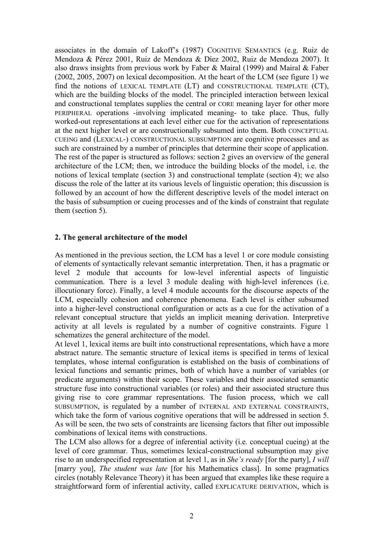associates in the domain of Lakoff's (1987) COGNITIVE SEMANTICS (e.g. Ruiz de Mendoza & Pérez 2001, Ruiz de Mendoza & Díez 2002, Ruiz de Mendoza 2007). It also draws insights from previous work by Faber & Mairal (1999) and Mairal & Faber (2002, 2005, 2007) on lexical decomposition. At the heart of the LCM (see figure 1) we find the notions of LEXICAL TEMPLATE (LT) and CONSTRUCTIONAL TEMPLATE (CT), which are the building blocks of the model. The principled interaction between lexical and constructional templates supplies the central or CORE meaning layer for other more PERIPHERAL operations -involving implicated meaning- to take place. Thus, fully worked-out representations at each level either cue for the activation of representations at the next higher level or are constructionally subsumed into them. Both CONCEPTUAL CUEING and (LEXICAL-) CONSTRUCTIONAL SUBSUMPTION are cognitive processes and as such are constrained by a number of principles that determine their scope of application. The rest of the paper is structured as follows: section 2 gives an overview of the general architecture of the LCM; then, we introduce the building blocks of the model, i.e. the notions of lexical template (section 3) and constructional template (section 4); we also discuss the role of the latter at its various levels of linguistic operation; this discussion is followed by an account of how the different descriptive levels of the model interact on the basis of subsumption or cueing processes and of the kinds of constraint that regulate them (section 5).

### **2. The general architecture of the model**

As mentioned in the previous section, the LCM has a level 1 or core module consisting of elements of syntactically relevant semantic interpretation. Then, it has a pragmatic or level 2 module that accounts for low-level inferential aspects of linguistic communication. There is a level 3 module dealing with high-level inferences (i.e. illocutionary force). Finally, a level 4 module accounts for the discourse aspects of the LCM, especially cohesion and coherence phenomena. Each level is either subsumed into a higher-level constructional configuration or acts as a cue for the activation of a relevant conceptual structure that yields an implicit meaning derivation. Interpretive activity at all levels is regulated by a number of cognitive constraints. Figure 1 schematizes the general architecture of the model.

At level 1, lexical items are built into constructional representations, which have a more abstract nature. The semantic structure of lexical items is specified in terms of lexical templates, whose internal configuration is established on the basis of combinations of lexical functions and semantic primes, both of which have a number of variables (or predicate arguments) within their scope. These variables and their associated semantic structure fuse into constructional variables (or roles) and their associated structure thus giving rise to core grammar representations. The fusion process, which we call SUBSUMPTION, is regulated by a number of INTERNAL AND EXTERNAL CONSTRAINTS, which take the form of various cognitive operations that will be addressed in section 5. As will be seen, the two sets of constraints are licensing factors that filter out impossible combinations of lexical items with constructions.

The LCM also allows for a degree of inferential activity (i.e. conceptual cueing) at the level of core grammar. Thus, sometimes lexical-constructional subsumption may give rise to an underspecified representation at level 1, as in *She's ready* [for the party], *I will* [marry you], *The student was late* [for his Mathematics class]. In some pragmatics circles (notably Relevance Theory) it has been argued that examples like these require a straightforward form of inferential activity, called EXPLICATURE DERIVATION, which is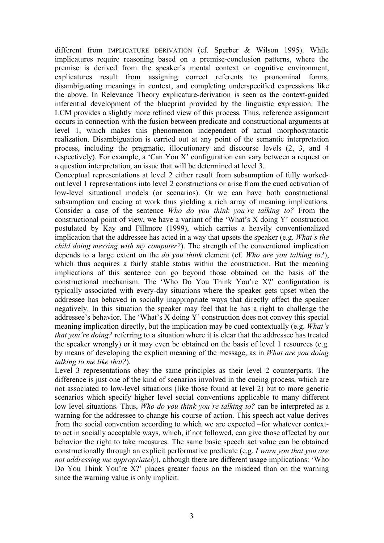different from IMPLICATURE DERIVATION (cf. Sperber & Wilson 1995). While implicatures require reasoning based on a premise-conclusion patterns, where the premise is derived from the speaker's mental context or cognitive environment, explicatures result from assigning correct referents to pronominal forms, disambiguating meanings in context, and completing underspecified expressions like the above. In Relevance Theory explicature-derivation is seen as the context-guided inferential development of the blueprint provided by the linguistic expression. The LCM provides a slightly more refined view of this process. Thus, reference assignment occurs in connection with the fusion between predicate and constructional arguments at level 1, which makes this phenomenon independent of actual morphosyntactic realization. Disambiguation is carried out at any point of the semantic interpretation process, including the pragmatic, illocutionary and discourse levels (2, 3, and 4 respectively). For example, a 'Can You X' configuration can vary between a request or a question interpretation, an issue that will be determined at level 3.

Conceptual representations at level 2 either result from subsumption of fully workedout level 1 representations into level 2 constructions or arise from the cued activation of low-level situational models (or scenarios). Or we can have both constructional subsumption and cueing at work thus yielding a rich array of meaning implications. Consider a case of the sentence *Who do you think you're talking to?* From the constructional point of view, we have a variant of the 'What's X doing Y' construction postulated by Kay and Fillmore (1999), which carries a heavily conventionalized implication that the addressee has acted in a way that upsets the speaker (e.g. *What's the child doing messing with my computer?*). The strength of the conventional implication depends to a large extent on the *do you think* element (cf. *Who are you talking to?*), which thus acquires a fairly stable status within the construction. But the meaning implications of this sentence can go beyond those obtained on the basis of the constructional mechanism. The 'Who Do You Think You're X?' configuration is typically associated with every-day situations where the speaker gets upset when the addressee has behaved in socially inappropriate ways that directly affect the speaker negatively. In this situation the speaker may feel that he has a right to challenge the addressee's behavior. The 'What's X doing Y' construction does not convey this special meaning implication directly, but the implication may be cued contextually (e.g. *What's that you're doing?* referring to a situation where it is clear that the addressee has treated the speaker wrongly) or it may even be obtained on the basis of level 1 resources (e.g. by means of developing the explicit meaning of the message, as in *What are you doing talking to me like that?*).

Level 3 representations obey the same principles as their level 2 counterparts. The difference is just one of the kind of scenarios involved in the cueing process, which are not associated to low-level situations (like those found at level 2) but to more generic scenarios which specify higher level social conventions applicable to many different low level situations. Thus, *Who do you think you're talking to?* can be interpreted as a warning for the addressee to change his course of action. This speech act value derives from the social convention according to which we are expected –for whatever contextto act in socially acceptable ways, which, if not followed, can give those affected by our behavior the right to take measures. The same basic speech act value can be obtained constructionally through an explicit performative predicate (e.g. *I warn you that you are not addressing me appropriately*), although there are different usage implications: 'Who Do You Think You're X?' places greater focus on the misdeed than on the warning since the warning value is only implicit.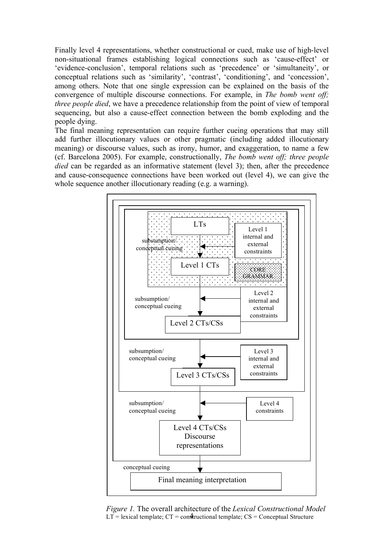Finally level 4 representations, whether constructional or cued, make use of high-level non-situational frames establishing logical connections such as 'cause-effect' or 'evidence-conclusion', temporal relations such as 'precedence' or 'simultaneity', or conceptual relations such as 'similarity', 'contrast', 'conditioning', and 'concession', among others. Note that one single expression can be explained on the basis of the convergence of multiple discourse connections. For example, in *The bomb went off; three people died*, we have a precedence relationship from the point of view of temporal sequencing, but also a cause-effect connection between the bomb exploding and the people dying.

The final meaning representation can require further cueing operations that may still add further illocutionary values or other pragmatic (including added illocutionary meaning) or discourse values, such as irony, humor, and exaggeration, to name a few (cf. Barcelona 2005). For example, constructionally, *The bomb went off; three people died* can be regarded as an informative statement (level 3); then, after the precedence and cause-consequence connections have been worked out (level 4), we can give the whole sequence another illocutionary reading (e.g. a warning).



 $LT$  = lexical template;  $CT$  = constructional template;  $CS$  = Conceptual Structure *Figure 1.* The overall architecture of the *Lexical Constructional Model*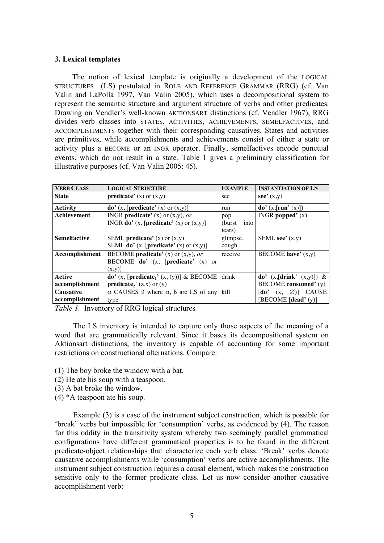#### **3. Lexical templates**

The notion of lexical template is originally a development of the LOGICAL STRUCTURES (LS) postulated in ROLE AND REFERENCE GRAMMAR (RRG) (cf. Van Valin and LaPolla 1997, Van Valin 2005), which uses a decompositional system to represent the semantic structure and argument structure of verbs and other predicates. Drawing on Vendler's well-known AKTIONSART distinctions (cf. Vendler 1967), RRG divides verb classes into STATES, ACTIVITIES, ACHIEVEMENTS, SEMELFACTIVES, and ACCOMPLISHMENTS together with their corresponding causatives. States and activities are primitives, while accomplishments and achievements consist of either a state or activity plus a BECOME or an INGR operator. Finally, semelfactives encode punctual events, which do not result in a state. Table 1 gives a preliminary classification for illustrative purposes (cf. Van Valin 2005: 45).

| <b>VERB CLASS</b>   | <b>LOGICAL STRUCTURE</b>                                     | <b>INSTANTIATION OF LS</b><br><b>EXAMPLE</b> |                                                                 |
|---------------------|--------------------------------------------------------------|----------------------------------------------|-----------------------------------------------------------------|
| <b>State</b>        | <b>predicate'</b> (x) or $(x,y)$                             | see                                          | see' $(x,y)$                                                    |
| <b>Activity</b>     | $\bf{do'}$ (x, [predicate' (x) or (x,y)]                     | run                                          | $\bf{do'}(x, [run'(x)])$                                        |
| <b>Achievement</b>  | INGR <b>predicate'</b> (x) or $(x,y)$ , or                   | pop                                          | INGR popped $'(x)$                                              |
|                     | INGR <b>do'</b> $(x,$ [ <b>predicate'</b> $(x)$ or $(x,y)$ ] | (burst)<br>into                              |                                                                 |
|                     |                                                              | tears)                                       |                                                                 |
| <b>Semelfactive</b> | SEML predicate' $(x)$ or $(x,y)$                             | glimpse,                                     | SEML see' $(x,y)$                                               |
|                     | SEML do' $(x,$ [predicate' $(x)$ or $(x,y)$ ]                | cough                                        |                                                                 |
| Accomplishment      | BECOME <b>predicate'</b> (x) or $(x, y)$ , or                | receive                                      | BECOME have' $(x,y)$                                            |
|                     | BECOME $do'$ (x, [predicate' (x) or                          |                                              |                                                                 |
|                     | $(x,y)$ ]                                                    |                                              |                                                                 |
| <b>Active</b>       | do' (x, [predicate <sub>1</sub> ' (x, (y))] & BECOME         | drink                                        | do' $(x,[drink' (x,y)])$ &                                      |
| accomplishment      | <b>predicate</b> <sub>2</sub> ' $(z,x)$ or $(y)$             |                                              | BECOME consumed' (y)                                            |
| <b>Causative</b>    | $\alpha$ CAUSES B where $\alpha$ , B are LS of any           | kill                                         | $\lceil \text{do} \rceil$<br><b>CAUSE</b><br>$(x, \varnothing)$ |
| accomplishment      | type                                                         |                                              | [BECOME [dead' $(y)$ ]                                          |

*Table 1.* Inventory of RRG logical structures

The LS inventory is intended to capture only those aspects of the meaning of a word that are grammatically relevant. Since it bases its decompositional system on Aktionsart distinctions, the inventory is capable of accounting for some important restrictions on constructional alternations. Compare:

(1) The boy broke the window with a bat.

- (2) He ate his soup with a teaspoon.
- (3) A bat broke the window.
- (4) \*A teaspoon ate his soup.

Example (3) is a case of the instrument subject construction, which is possible for 'break' verbs but impossible for 'consumption' verbs, as evidenced by (4). The reason for this oddity in the transitivity system whereby two seemingly parallel grammatical configurations have different grammatical properties is to be found in the different predicate-object relationships that characterize each verb class. 'Break' verbs denote causative accomplishments while 'consumption' verbs are active accomplishments. The instrument subject construction requires a causal element, which makes the construction sensitive only to the former predicate class. Let us now consider another causative accomplishment verb: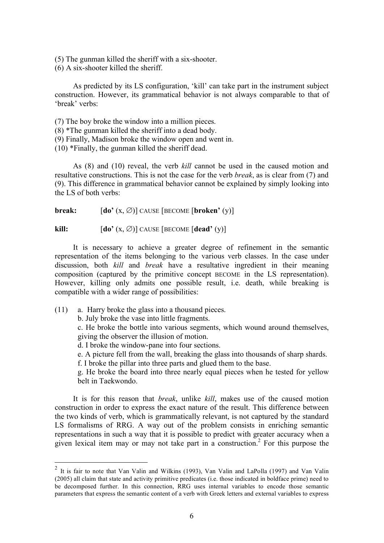(5) The gunman killed the sheriff with a six-shooter.

(6) A six-shooter killed the sheriff.

As predicted by its LS configuration, 'kill' can take part in the instrument subject construction. However, its grammatical behavior is not always comparable to that of 'break' verbs:

(7) The boy broke the window into a million pieces.

- (8) \*The gunman killed the sheriff into a dead body.
- (9) Finally, Madison broke the window open and went in.

(10) \*Finally, the gunman killed the sheriff dead.

As (8) and (10) reveal, the verb *kill* cannot be used in the caused motion and resultative constructions. This is not the case for the verb *break*, as is clear from (7) and (9). This difference in grammatical behavior cannot be explained by simply looking into the LS of both verbs:

**break:**  $[\textbf{do'}(x, \emptyset)]$  CAUSE  $[\textbf{BECOME} [\textbf{broken'}(y)]$ 

**kill:**  $\begin{bmatrix} \text{do'} (x, \emptyset) \end{bmatrix}$  CAUSE [BECOME  $\begin{bmatrix} \text{dead'} (y) \end{bmatrix}$ 

It is necessary to achieve a greater degree of refinement in the semantic representation of the items belonging to the various verb classes. In the case under discussion, both *kill* and *break* have a resultative ingredient in their meaning composition (captured by the primitive concept BECOME in the LS representation). However, killing only admits one possible result, i.e. death, while breaking is compatible with a wider range of possibilities:

- (11) a. Harry broke the glass into a thousand pieces.
	- b. July broke the vase into little fragments.

c. He broke the bottle into various segments, which wound around themselves, giving the observer the illusion of motion.

- d. I broke the window-pane into four sections.
- e. A picture fell from the wall, breaking the glass into thousands of sharp shards.
- f. I broke the pillar into three parts and glued them to the base.

g. He broke the board into three nearly equal pieces when he tested for yellow belt in Taekwondo.

It is for this reason that *break*, unlike *kill*, makes use of the caused motion construction in order to express the exact nature of the result. This difference between the two kinds of verb, which is grammatically relevant, is not captured by the standard LS formalisms of RRG. A way out of the problem consists in enriching semantic representations in such a way that it is possible to predict with greater accuracy when a given lexical item may or may not take part in a construction.<sup>2</sup> For this purpose the

 <sup>2</sup> It is fair to note that Van Valin and Wilkins (1993), Van Valin and LaPolla (1997) and Van Valin (2005) all claim that state and activity primitive predicates (i.e. those indicated in boldface prime) need to be decomposed further. In this connection, RRG uses internal variables to encode those semantic parameters that express the semantic content of a verb with Greek letters and external variables to express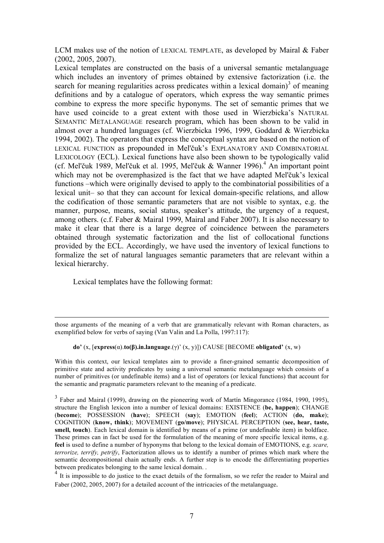LCM makes use of the notion of LEXICAL TEMPLATE, as developed by Mairal & Faber (2002, 2005, 2007).

Lexical templates are constructed on the basis of a universal semantic metalanguage which includes an inventory of primes obtained by extensive factorization (i.e. the search for meaning regularities across predicates within a lexical domain)<sup>3</sup> of meaning definitions and by a catalogue of operators, which express the way semantic primes combine to express the more specific hyponyms. The set of semantic primes that we have used coincide to a great extent with those used in Wierzbicka's NATURAL SEMANTIC METALANGUAGE research program, which has been shown to be valid in almost over a hundred languages (cf. Wierzbicka 1996, 1999, Goddard & Wierzbicka 1994, 2002). The operators that express the conceptual syntax are based on the notion of LEXICAL FUNCTION as propounded in Mel'čuk's EXPLANATORY AND COMBINATORIAL LEXICOLOGY (ECL). Lexical functions have also been shown to be typologically valid (cf. Mel'čuk 1989, Mel'čuk et al. 1995, Mel'čuk & Wanner 1996).<sup>4</sup> An important point which may not be overemphasized is the fact that we have adapted Mel'čuk's lexical functions –which were originally devised to apply to the combinatorial possibilities of a lexical unit– so that they can account for lexical domain-specific relations, and allow the codification of those semantic parameters that are not visible to syntax, e.g. the manner, purpose, means, social status, speaker's attitude, the urgency of a request, among others. (c.f. Faber & Mairal 1999, Mairal and Faber 2007). It is also necessary to make it clear that there is a large degree of coincidence between the parameters obtained through systematic factorization and the list of collocational functions provided by the ECL. Accordingly, we have used the inventory of lexical functions to formalize the set of natural languages semantic parameters that are relevant within a lexical hierarchy.

Lexical templates have the following format:

1

#### **do'** (x, [**express**(α).**to(β).in.language**.(γ)' (x, y)]) CAUSE [BECOME **obligated'** (x, w)

Within this context, our lexical templates aim to provide a finer-grained semantic decomposition of primitive state and activity predicates by using a universal semantic metalanguage which consists of a number of primitives (or undefinable items) and a list of operators (or lexical functions) that account for the semantic and pragmatic parameters relevant to the meaning of a predicate.

those arguments of the meaning of a verb that are grammatically relevant with Roman characters, as exemplified below for verbs of saying (Van Valin and La Polla, 1997:117):

<sup>&</sup>lt;sup>3</sup> Faber and Mairal (1999), drawing on the pioneering work of Martín Mingorance (1984, 1990, 1995), structure the English lexicon into a number of lexical domains: EXISTENCE (**be, happen**); CHANGE (**become**); POSSESSION (**have**); SPEECH (**say**); EMOTION (**feel**); ACTION (**do, make**); COGNITION (**know, think**); MOVEMENT (**go/move**); PHYSICAL PERCEPTION (**see, hear, taste, smell, touch**). Each lexical domain is identified by means of a prime (or undefinable item) in boldface. These primes can in fact be used for the formulation of the meaning of more specific lexical items, e.g. **feel** is used to define a number of hyponyms that belong to the lexical domain of EMOTIONS, e.g. *scare, terrorize, terrify, petrify*, Factorization allows us to identify a number of primes which mark where the semantic decompositional chain actually ends. A further step is to encode the differentiating properties between predicates belonging to the same lexical domain. .<br><sup>4</sup> It is impossible to do justice to the exact details of the formalism, so we refer the reader to Mairal and

Faber (2002, 2005, 2007) for a detailed account of the intricacies of the metalanguage.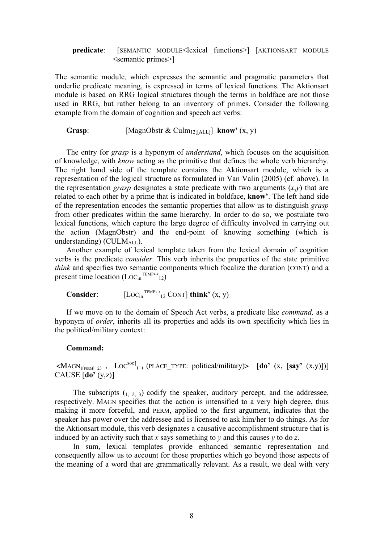#### **predicate**: [SEMANTIC MODULE<lexical functions>] [AKTIONSART MODULE <semantic primes>]

The semantic module*,* which expresses the semantic and pragmatic parameters that underlie predicate meaning, is expressed in terms of lexical functions. The Aktionsart module is based on RRG logical structures though the terms in boldface are not those used in RRG, but rather belong to an inventory of primes. Consider the following example from the domain of cognition and speech act verbs:

**Grasp**: [MagnObstr & Culm<sub>12[[ALL]</sub>] **know**<sup>*'*</sup> (x, y)</sup>

The entry for *grasp* is a hyponym of *understand*, which focuses on the acquisition of knowledge, with *know* acting as the primitive that defines the whole verb hierarchy. The right hand side of the template contains the Aktionsart module, which is a representation of the logical structure as formulated in Van Valin (2005) (cf. above). In the representation *grasp* designates a state predicate with two arguments  $(x, y)$  that are related to each other by a prime that is indicated in boldface, **know'**. The left hand side of the representation encodes the semantic properties that allow us to distinguish *grasp* from other predicates within the same hierarchy. In order to do so, we postulate two lexical functions, which capture the large degree of difficulty involved in carrying out the action (MagnObstr) and the end-point of knowing something (which is understanding) (CULM $_{\text{ALL}}$ ).

Another example of lexical template taken from the lexical domain of cognition verbs is the predicate *consider*. This verb inherits the properties of the state primitive *think* and specifies two semantic components which focalize the duration (CONT) and a present time location (LOC<sub>in</sub><sup>TEMP++</sup>12)

Consider<sup>:</sup>  $[LOC_{in}^{TEMP \leftrightarrow}]$ <sub>12</sub> CONT] **think'**  $(x, y)$ 

If we move on to the domain of Speech Act verbs, a predicate like *command,* as a hyponym of *order*, inherits all its properties and adds its own specificity which lies in the political/military context:

#### **Command:**

 $\leq MAGN_{\text{I[PERM]} 23}$ ,  $\text{LOC}^{\text{soc}\uparrow}(1)$  (PLACE\_TYPE: political/military)  $\geq [do'(x, [say'(x,y)])]$ CAUSE [**do'** (y,z)]

The subscripts  $(1, 2, 3)$  codify the speaker, auditory percept, and the addressee, respectively. MAGN specifies that the action is intensified to a very high degree, thus making it more forceful, and PERM, applied to the first argument, indicates that the speaker has power over the addressee and is licensed to ask him/her to do things. As for the Aktionsart module, this verb designates a causative accomplishment structure that is induced by an activity such that *x* says something to *y* and this causes *y* to do *z*.

In sum, lexical templates provide enhanced semantic representation and consequently allow us to account for those properties which go beyond those aspects of the meaning of a word that are grammatically relevant. As a result, we deal with very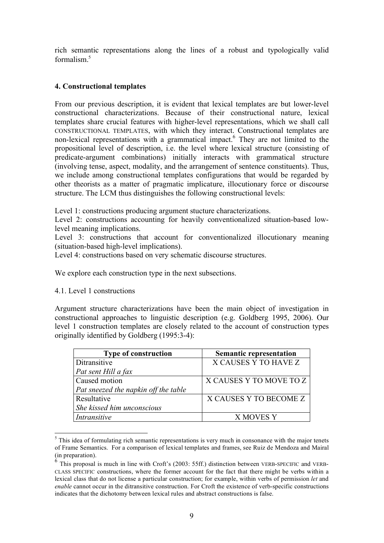rich semantic representations along the lines of a robust and typologically valid formalism<sup>5</sup>

## **4. Constructional templates**

From our previous description, it is evident that lexical templates are but lower-level constructional characterizations. Because of their constructional nature, lexical templates share crucial features with higher-level representations, which we shall call CONSTRUCTIONAL TEMPLATES, with which they interact. Constructional templates are non-lexical representations with a grammatical impact.<sup>6</sup> They are not limited to the propositional level of description, i.e. the level where lexical structure (consisting of predicate-argument combinations) initially interacts with grammatical structure (involving tense, aspect, modality, and the arrangement of sentence constituents). Thus, we include among constructional templates configurations that would be regarded by other theorists as a matter of pragmatic implicature, illocutionary force or discourse structure. The LCM thus distinguishes the following constructional levels:

Level 1: constructions producing argument stucture characterizations.

Level 2: constructions accounting for heavily conventionalized situation-based lowlevel meaning implications.

Level 3: constructions that account for conventionalized illocutionary meaning (situation-based high-level implications).

Level 4: constructions based on very schematic discourse structures.

We explore each construction type in the next subsections.

4.1. Level 1 constructions

Argument structure characterizations have been the main object of investigation in constructional approaches to linguistic description (e.g. Goldberg 1995, 2006). Our level 1 construction templates are closely related to the account of construction types originally identified by Goldberg (1995:3-4):

| <b>Type of construction</b>          | <b>Semantic representation</b> |
|--------------------------------------|--------------------------------|
| Ditransitive                         | X CAUSES Y TO HAVE Z           |
| Pat sent Hill a fax                  |                                |
| Caused motion                        | X CAUSES Y TO MOVE TO Z        |
| Pat sneezed the napkin off the table |                                |
| Resultative                          | X CAUSES Y TO BECOME Z         |
| She kissed him unconscious           |                                |
| Intransitive                         | X MOVES Y                      |

 <sup>5</sup>  $<sup>5</sup>$  This idea of formulating rich semantic representations is very much in consonance with the major tenets</sup> of Frame Semantics. For a comparison of lexical templates and frames, see Ruiz de Mendoza and Mairal (in preparation).

 $6$  This proposal is much in line with Croft's (2003: 55ff.) distinction between VERB-SPECIFIC and VERB-CLASS SPECIFIC constructions, where the former account for the fact that there might be verbs within a lexical class that do not license a particular construction; for example, within verbs of permission *let* and *enable* cannot occur in the ditransitive construction. For Croft the existence of verb-specific constructions indicates that the dichotomy between lexical rules and abstract constructions is false.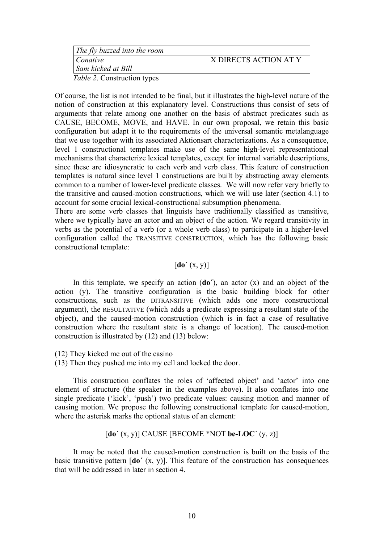| The fly buzzed into the room      |                       |
|-----------------------------------|-----------------------|
| Conative                          | X DIRECTS ACTION AT Y |
| Sam kicked at Bill                |                       |
| <i>Table ?</i> Construction types |                       |

*Table 2*. Construction types

Of course, the list is not intended to be final, but it illustrates the high-level nature of the notion of construction at this explanatory level. Constructions thus consist of sets of arguments that relate among one another on the basis of abstract predicates such as CAUSE, BECOME, MOVE, and HAVE. In our own proposal, we retain this basic configuration but adapt it to the requirements of the universal semantic metalanguage that we use together with its associated Aktionsart characterizations. As a consequence, level 1 constructional templates make use of the same high-level representational mechanisms that characterize lexical templates, except for internal variable descriptions, since these are idiosyncratic to each verb and verb class. This feature of construction templates is natural since level 1 constructions are built by abstracting away elements common to a number of lower-level predicate classes. We will now refer very briefly to the transitive and caused-motion constructions, which we will use later (section 4.1) to account for some crucial lexical-constructional subsumption phenomena.

There are some verb classes that linguists have traditionally classified as transitive, where we typically have an actor and an object of the action. We regard transitivity in verbs as the potential of a verb (or a whole verb class) to participate in a higher-level configuration called the TRANSITIVE CONSTRUCTION, which has the following basic constructional template:

# $\left[\mathbf{do}'(x, y)\right]$

In this template, we specify an action (**do´**), an actor (x) and an object of the action (y). The transitive configuration is the basic building block for other constructions, such as the DITRANSITIVE (which adds one more constructional argument), the RESULTATIVE (which adds a predicate expressing a resultant state of the object), and the caused-motion construction (which is in fact a case of resultative construction where the resultant state is a change of location). The caused-motion construction is illustrated by (12) and (13) below:

(12) They kicked me out of the casino

(13) Then they pushed me into my cell and locked the door.

This construction conflates the roles of 'affected object' and 'actor' into one element of structure (the speaker in the examples above). It also conflates into one single predicate ('kick', 'push') two predicate values: causing motion and manner of causing motion. We propose the following constructional template for caused-motion, where the asterisk marks the optional status of an element:

# [**do´** (x, y)] CAUSE [BECOME \*NOT **be-LOC´** (y, z)]

It may be noted that the caused-motion construction is built on the basis of the basic transitive pattern [**do´** (x, y)]. This feature of the construction has consequences that will be addressed in later in section 4.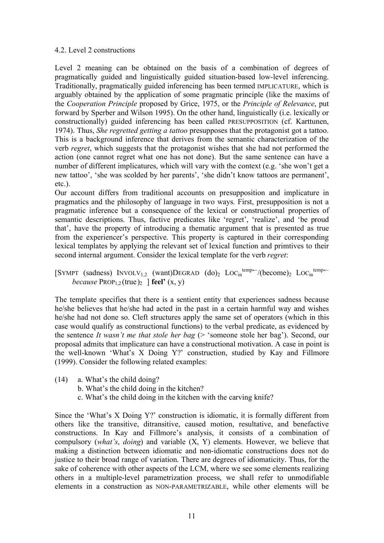### 4.2. Level 2 constructions

Level 2 meaning can be obtained on the basis of a combination of degrees of pragmatically guided and linguistically guided situation-based low-level inferencing. Traditionally, pragmatically guided inferencing has been termed IMPLICATURE, which is arguably obtained by the application of some pragmatic principle (like the maxims of the *Cooperation Principle* proposed by Grice, 1975, or the *Principle of Relevance*, put forward by Sperber and Wilson 1995). On the other hand, linguistically (i.e. lexically or constructionally) guided inferencing has been called PRESUPPOSITION (cf. Karttunen, 1974). Thus, *She regretted getting a tattoo* presupposes that the protagonist got a tattoo. This is a background inference that derives from the semantic characterization of the verb *regret*, which suggests that the protagonist wishes that she had not performed the action (one cannot regret what one has not done). But the same sentence can have a number of different implicatures, which will vary with the context (e.g. 'she won't get a new tattoo', 'she was scolded by her parents', 'she didn't know tattoos are permanent', etc.).

Our account differs from traditional accounts on presupposition and implicature in pragmatics and the philosophy of language in two ways. First, presupposition is not a pragmatic inference but a consequence of the lexical or constructional properties of semantic descriptions. Thus, factive predicates like 'regret', 'realize', and 'be proud that', have the property of introducing a thematic argument that is presented as true from the experiencer's perspective. This property is captured in their corresponding lexical templates by applying the relevant set of lexical function and primtives to their second internal argument. Consider the lexical template for the verb *regret*:

[SYMPT (sadness)  $INVOLV_{1,2}$  (want)DEGRAD (do)<sub>2</sub>  $Loc_{in}^{temp\leftarrow}$ /(become)<sub>2</sub>  $Loc_{in}^{temp\leftarrow}$ *because*  $PROP<sub>1,2</sub>(true)$ <sup>2</sup> **feel'**  $(X, Y)$ 

The template specifies that there is a sentient entity that experiences sadness because he/she believes that he/she had acted in the past in a certain harmful way and wishes he/she had not done so. Cleft structures apply the same set of operators (which in this case would qualify as constructional functions) to the verbal predicate, as evidenced by the sentence *It wasn't me that stole her bag* (> 'someone stole her bag'). Second, our proposal admits that implicature can have a constructional motivation. A case in point is the well-known 'What's X Doing Y?' construction, studied by Kay and Fillmore (1999). Consider the following related examples:

- (14) a. What's the child doing?
	- b. What's the child doing in the kitchen?
	- c. What's the child doing in the kitchen with the carving knife?

Since the 'What's X Doing Y?' construction is idiomatic, it is formally different from others like the transitive, ditransitive, caused motion, resultative, and benefactive constructions. In Kay and Fillmore's analysis, it consists of a combination of compulsory (*what's*, *doing*) and variable (X, Y) elements. However, we believe that making a distinction between idiomatic and non-idiomatic constructions does not do justice to their broad range of variation. There are degrees of idiomaticity. Thus, for the sake of coherence with other aspects of the LCM, where we see some elements realizing others in a multiple-level parametrization process, we shall refer to unmodifiable elements in a construction as NON-PARAMETRIZABLE, while other elements will be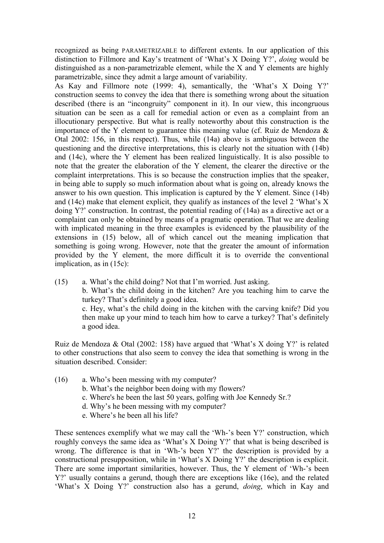recognized as being PARAMETRIZABLE to different extents. In our application of this distinction to Fillmore and Kay's treatment of 'What's X Doing Y?', *doing* would be distinguished as a non-parametrizable element, while the X and Y elements are highly parametrizable, since they admit a large amount of variability.

As Kay and Fillmore note (1999: 4), semantically, the 'What's X Doing Y?' construction seems to convey the idea that there is something wrong about the situation described (there is an "incongruity" component in it). In our view, this incongruous situation can be seen as a call for remedial action or even as a complaint from an illocutionary perspective. But what is really noteworthy about this construction is the importance of the Y element to guarantee this meaning value (cf. Ruiz de Mendoza & Otal 2002: 156, in this respect). Thus, while (14a) above is ambiguous between the questioning and the directive interpretations, this is clearly not the situation with (14b) and (14c), where the Y element has been realized linguistically. It is also possible to note that the greater the elaboration of the Y element, the clearer the directive or the complaint interpretations. This is so because the construction implies that the speaker, in being able to supply so much information about what is going on, already knows the answer to his own question. This implication is captured by the Y element. Since (14b) and (14c) make that element explicit, they qualify as instances of the level 2 'What's X doing Y?' construction. In contrast, the potential reading of (14a) as a directive act or a complaint can only be obtained by means of a pragmatic operation. That we are dealing with implicated meaning in the three examples is evidenced by the plausibility of the extensions in (15) below, all of which cancel out the meaning implication that something is going wrong. However, note that the greater the amount of information provided by the Y element, the more difficult it is to override the conventional implication, as in (15c):

(15) a. What's the child doing? Not that I'm worried. Just asking. b. What's the child doing in the kitchen? Are you teaching him to carve the turkey? That's definitely a good idea. c. Hey, what's the child doing in the kitchen with the carving knife? Did you then make up your mind to teach him how to carve a turkey? That's definitely a good idea.

Ruiz de Mendoza & Otal (2002: 158) have argued that 'What's X doing Y?' is related to other constructions that also seem to convey the idea that something is wrong in the situation described. Consider:

- (16) a. Who's been messing with my computer?
	- b. What's the neighbor been doing with my flowers?
	- c. Where's he been the last 50 years, golfing with Joe Kennedy Sr.?
	- d. Why's he been messing with my computer?
	- e. Where's he been all his life?

These sentences exemplify what we may call the 'Wh-'s been Y?' construction, which roughly conveys the same idea as 'What's X Doing Y?' that what is being described is wrong. The difference is that in 'Wh-'s been Y?' the description is provided by a constructional presupposition, while in 'What's X Doing Y?' the description is explicit. There are some important similarities, however. Thus, the Y element of 'Wh-'s been Y?' usually contains a gerund, though there are exceptions like (16e), and the related 'What's X Doing Y?' construction also has a gerund, *doing*, which in Kay and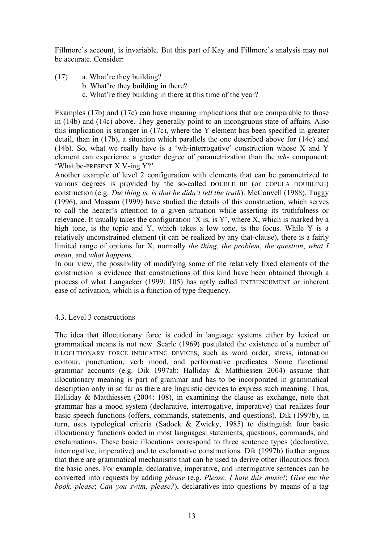Fillmore's account, is invariable. But this part of Kay and Fillmore's analysis may not be accurate. Consider:

(17) a. What're they building?

- b. What're they building in there?
- c. What're they building in there at this time of the year?

Examples (17b) and (17c) can have meaning implications that are comparable to those in (14b) and (14c) above. They generally point to an incongruous state of affairs. Also this implication is stronger in (17c), where the Y element has been specified in greater detail, than in (17b), a situation which parallels the one described above for (14c) and (14b). So, what we really have is a 'wh-interrogative' construction whose X and Y element can experience a greater degree of parametrization than the *wh-* component: 'What be-PRESENT X V-ing Y?'

Another example of level 2 configuration with elements that can be parametrized to various degrees is provided by the so-called DOUBLE BE (or COPULA DOUBLING) construction (e.g. *The thing is, is that he didn't tell the truth*). McConvell (1988), Tuggy (1996), and Massam (1999) have studied the details of this construction, which serves to call the hearer's attention to a given situation while asserting its truthfulness or relevance. It usually takes the configuration 'X is, is Y', where X, which is marked by a high tone, is the topic and Y, which takes a low tone, is the focus. While Y is a relatively unconstrained element (it can be realized by any that-clause), there is a fairly limited range of options for X, normally *the thing*, *the problem*, *the question*, *what I mean*, and *what happens*.

In our view, the possibility of modifying some of the relatively fixed elements of the construction is evidence that constructions of this kind have been obtained through a process of what Langacker (1999: 105) has aptly called ENTRENCHMENT or inherent ease of activation, which is a function of type frequency.

# 4.3. Level 3 constructions

The idea that illocutionary force is coded in language systems either by lexical or grammatical means is not new. Searle (1969) postulated the existence of a number of ILLOCUTIONARY FORCE INDICATING DEVICES, such as word order, stress, intonation contour, punctuation, verb mood, and performative predicates. Some functional grammar accounts (e.g. Dik 1997ab; Halliday & Matthiessen 2004) assume that illocutionary meaning is part of grammar and has to be incorporated in grammatical description only in so far as there are linguistic devices to express such meaning. Thus, Halliday & Matthiessen (2004: 108), in examining the clause as exchange, note that grammar has a mood system (declarative, interrogative, imperative) that realizes four basic speech functions (offers, commands, statements, and questions). Dik (1997b), in turn, uses typological criteria (Sadock & Zwicky, 1985) to distinguish four basic illocutionary functions coded in most languages: statements, questions, commands, and exclamations. These basic illocutions correspond to three sentence types (declarative, interrogative, imperative) and to exclamative constructions. Dik (1997b) further argues that there are grammatical mechanisms that can be used to derive other illocutions from the basic ones. For example, declarative, imperative, and interrogative sentences can be converted into requests by adding *please* (e.g. *Please, I hate this music!*; *Give me the book, please*; *Can you swim, please?*), declaratives into questions by means of a tag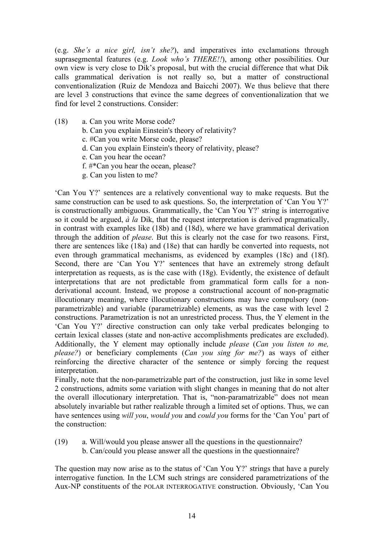(e.g. *She's a nice girl, isn't she?*), and imperatives into exclamations through suprasegmental features (e.g. *Look who's THERE!!*), among other possibilities. Our own view is very close to Dik's proposal, but with the crucial difference that what Dik calls grammatical derivation is not really so, but a matter of constructional conventionalization (Ruiz de Mendoza and Baicchi 2007). We thus believe that there are level 3 constructions that evince the same degrees of conventionalization that we find for level 2 constructions. Consider:

- (18) a. Can you write Morse code?
	- b. Can you explain Einstein's theory of relativity?
	- c. #Can you write Morse code, please?
	- d. Can you explain Einstein's theory of relativity, please?
	- e. Can you hear the ocean?
	- f. #\*Can you hear the ocean, please?
	- g. Can you listen to me?

'Can You Y?' sentences are a relatively conventional way to make requests. But the same construction can be used to ask questions. So, the interpretation of 'Can You Y?' is constructionally ambiguous. Grammatically, the 'Can You Y?' string is interrogative so it could be argued, *à la* Dik, that the request interpretation is derived pragmatically, in contrast with examples like (18b) and (18d), where we have grammatical derivation through the addition of *please*. But this is clearly not the case for two reasons. First, there are sentences like (18a) and (18e) that can hardly be converted into requests, not even through grammatical mechanisms, as evidenced by examples (18c) and (18f). Second, there are 'Can You Y?' sentences that have an extremely strong default interpretation as requests, as is the case with (18g). Evidently, the existence of default interpretations that are not predictable from grammatical form calls for a nonderivational account. Instead, we propose a constructional account of non-pragmatic illocutionary meaning, where illocutionary constructions may have compulsory (nonparametrizable) and variable (parametrizable) elements, as was the case with level 2 constructions. Parametrization is not an unrestricted process. Thus, the Y element in the 'Can You Y?' directive construction can only take verbal predicates belonging to certain lexical classes (state and non-active accomplishments predicates are excluded). Additionally, the Y element may optionally include *please* (*Can you listen to me, please?*) or beneficiary complements (*Can you sing for me?*) as ways of either reinforcing the directive character of the sentence or simply forcing the request interpretation.

Finally, note that the non-parametrizable part of the construction, just like in some level 2 constructions, admits some variation with slight changes in meaning that do not alter the overall illocutionary interpretation. That is, "non-paramatrizable" does not mean absolutely invariable but rather realizable through a limited set of options. Thus, we can have sentences using *will you*, *would you* and *could you* forms for the 'Can You' part of the construction:

- (19) a. Will/would you please answer all the questions in the questionnaire?
	- b. Can/could you please answer all the questions in the questionnaire?

The question may now arise as to the status of 'Can You Y?' strings that have a purely interrogative function. In the LCM such strings are considered parametrizations of the Aux-NP constituents of the POLAR INTERROGATIVE construction. Obviously, 'Can You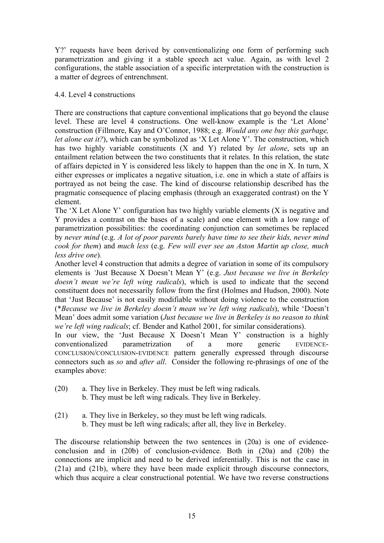Y?' requests have been derived by conventionalizing one form of performing such parametrization and giving it a stable speech act value. Again, as with level 2 configurations, the stable association of a specific interpretation with the construction is a matter of degrees of entrenchment.

## 4.4. Level 4 constructions

There are constructions that capture conventional implications that go beyond the clause level. These are level 4 constructions. One well-know example is the 'Let Alone' construction (Fillmore, Kay and O'Connor, 1988; e.g. *Would any one buy this garbage, let alone eat it?*), which can be symbolized as 'X Let Alone Y'. The construction, which has two highly variable constituents (X and Y) related by *let alone*, sets up an entailment relation between the two constituents that it relates. In this relation, the state of affairs depicted in Y is considered less likely to happen than the one in X. In turn, X either expresses or implicates a negative situation, i.e. one in which a state of affairs is portrayed as not being the case. The kind of discourse relationship described has the pragmatic consequence of placing emphasis (through an exaggerated contrast) on the Y element.

The 'X Let Alone Y' configuration has two highly variable elements (X is negative and Y provides a contrast on the bases of a scale) and one element with a low range of parametrization possibilities: the coordinating conjunction can sometimes be replaced by *never mind* (e.g. *A lot of poor parents barely have time to see their kids, never mind cook for them*) and *much less* (e.g. *Few will ever see an Aston Martin up close, much less drive one*)*.*

Another level 4 construction that admits a degree of variation in some of its compulsory elements is *'*Just Because X Doesn't Mean Y' (e.g. *Just because we live in Berkeley doesn't mean we're left wing radicals*), which is used to indicate that the second constituent does not necessarily follow from the first (Holmes and Hudson, 2000). Note that 'Just Because' is not easily modifiable without doing violence to the construction (\**Because we live in Berkeley doesn't mean we're left wing radicals*), while 'Doesn't Mean' does admit some variation (*Just because we live in Berkeley is no reason to think we're left wing radicals*; cf. Bender and Kathol 2001, for similar considerations).

In our view, the 'Just Because X Doesn't Mean Y' construction is a highly conventionalized parametrization of a more generic EVIDENCE-CONCLUSION/CONCLUSION-EVIDENCE pattern generally expressed through discourse connectors such as *so* and *after all*. Consider the following re-phrasings of one of the examples above:

- (20) a. They live in Berkeley. They must be left wing radicals.
	- b. They must be left wing radicals. They live in Berkeley.
- (21) a. They live in Berkeley, so they must be left wing radicals. b. They must be left wing radicals; after all, they live in Berkeley.

The discourse relationship between the two sentences in (20a) is one of evidenceconclusion and in (20b) of conclusion-evidence. Both in (20a) and (20b) the connections are implicit and need to be derived inferentially. This is not the case in (21a) and (21b), where they have been made explicit through discourse connectors, which thus acquire a clear constructional potential. We have two reverse constructions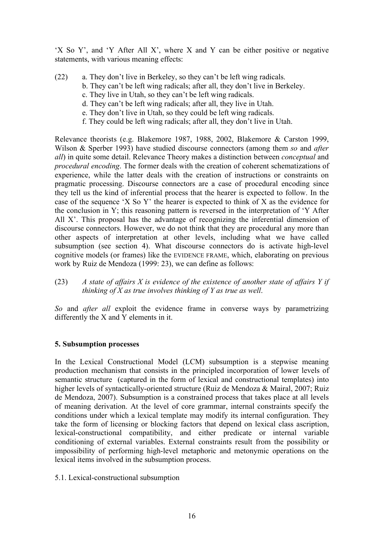'X So Y', and 'Y After All X', where X and Y can be either positive or negative statements, with various meaning effects:

- (22) a. They don't live in Berkeley, so they can't be left wing radicals.
	- b. They can't be left wing radicals; after all, they don't live in Berkeley.
		- c. They live in Utah, so they can't be left wing radicals.
		- d. They can't be left wing radicals; after all, they live in Utah.
		- e. They don't live in Utah, so they could be left wing radicals.
		- f. They could be left wing radicals; after all, they don't live in Utah.

Relevance theorists (e.g. Blakemore 1987, 1988, 2002, Blakemore & Carston 1999, Wilson & Sperber 1993) have studied discourse connectors (among them *so* and *after all*) in quite some detail. Relevance Theory makes a distinction between *conceptual* and *procedural encoding*. The former deals with the creation of coherent schematizations of experience, while the latter deals with the creation of instructions or constraints on pragmatic processing. Discourse connectors are a case of procedural encoding since they tell us the kind of inferential process that the hearer is expected to follow. In the case of the sequence 'X So Y' the hearer is expected to think of X as the evidence for the conclusion in Y; this reasoning pattern is reversed in the interpretation of 'Y After All X'. This proposal has the advantage of recognizing the inferential dimension of discourse connectors. However, we do not think that they are procedural any more than other aspects of interpretation at other levels, including what we have called subsumption (see section 4). What discourse connectors do is activate high-level cognitive models (or frames) like the EVIDENCE FRAME, which, elaborating on previous work by Ruiz de Mendoza (1999: 23), we can define as follows:

(23) *A state of affairs X is evidence of the existence of another state of affairs Y if thinking of X as true involves thinking of Y as true as well*.

*So* and *after all* exploit the evidence frame in converse ways by parametrizing differently the X and Y elements in it.

# **5. Subsumption processes**

In the Lexical Constructional Model (LCM) subsumption is a stepwise meaning production mechanism that consists in the principled incorporation of lower levels of semantic structure (captured in the form of lexical and constructional templates) into higher levels of syntactically-oriented structure (Ruiz de Mendoza & Mairal, 2007; Ruiz de Mendoza, 2007). Subsumption is a constrained process that takes place at all levels of meaning derivation. At the level of core grammar, internal constraints specify the conditions under which a lexical template may modify its internal configuration. They take the form of licensing or blocking factors that depend on lexical class ascription, lexical-constructional compatibility, and either predicate or internal variable conditioning of external variables. External constraints result from the possibility or impossibility of performing high-level metaphoric and metonymic operations on the lexical items involved in the subsumption process.

5.1. Lexical-constructional subsumption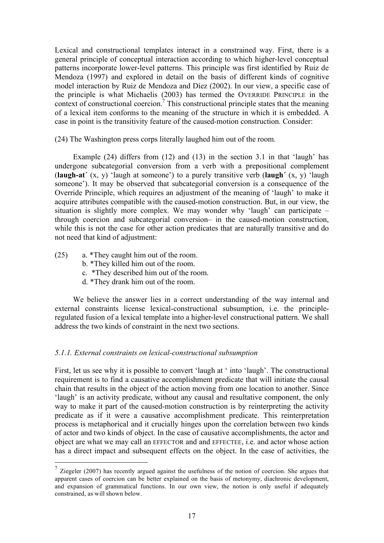Lexical and constructional templates interact in a constrained way. First, there is a general principle of conceptual interaction according to which higher-level conceptual patterns incorporate lower-level patterns. This principle was first identified by Ruiz de Mendoza (1997) and explored in detail on the basis of different kinds of cognitive model interaction by Ruiz de Mendoza and Díez (2002). In our view, a specific case of the principle is what Michaelis (2003) has termed the OVERRIDE PRINCIPLE in the context of constructional coercion.<sup>7</sup> This constructional principle states that the meaning of a lexical item conforms to the meaning of the structure in which it is embedded. A case in point is the transitivity feature of the caused-motion construction. Consider:

(24) The Washington press corps literally laughed him out of the room.

Example (24) differs from (12) and (13) in the section 3.1 in that 'laugh' has undergone subcategorial conversion from a verb with a prepositional complement (**laugh-at´** (x, y) 'laugh at someone') to a purely transitive verb (**laugh´** (x, y) 'laugh someone'). It may be observed that subcategorial conversion is a consequence of the Override Principle, which requires an adjustment of the meaning of 'laugh' to make it acquire attributes compatible with the caused-motion construction. But, in our view, the situation is slightly more complex. We may wonder why 'laugh' can participate – through coercion and subcategorial conversion– in the caused-motion construction, while this is not the case for other action predicates that are naturally transitive and do not need that kind of adjustment:

- (25) a. \*They caught him out of the room.
	- b. \*They killed him out of the room.
	- c. \*They described him out of the room.
	- d. \*They drank him out of the room.

We believe the answer lies in a correct understanding of the way internal and external constraints license lexical-constructional subsumption, i.e. the principleregulated fusion of a lexical template into a higher-level constructional pattern. We shall address the two kinds of constraint in the next two sections.

# *5.1.1. External constraints on lexical-constructional subsumption*

First, let us see why it is possible to convert 'laugh at ' into 'laugh'. The constructional requirement is to find a causative accomplishment predicate that will initiate the causal chain that results in the object of the action moving from one location to another. Since 'laugh' is an activity predicate, without any causal and resultative component, the only way to make it part of the caused-motion construction is by reinterpreting the activity predicate as if it were a causative accomplishment predicate. This reinterpretation process is metaphorical and it crucially hinges upon the correlation between two kinds of actor and two kinds of object. In the case of causative accomplishments, the actor and object are what we may call an EFFECTOR and and EFFECTEE, i.e. and actor whose action has a direct impact and subsequent effects on the object. In the case of activities, the

 $\frac{7}{1}$  Ziegeler (2007) has recently argued against the usefulness of the notion of coercion. She argues that apparent cases of coercion can be better explained on the basis of metonymy, diachronic development, and expansion of grammatical functions. In our own view, the notion is only useful if adequately constrained, as will shown below.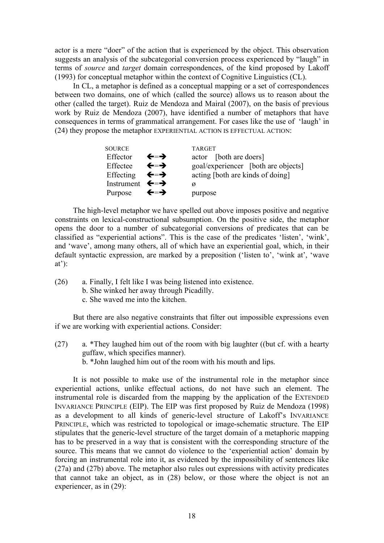actor is a mere "doer" of the action that is experienced by the object. This observation suggests an analysis of the subcategorial conversion process experienced by "laugh" in terms of *source* and *target* domain correspondences, of the kind proposed by Lakoff (1993) for conceptual metaphor within the context of Cognitive Linguistics (CL).

In CL, a metaphor is defined as a conceptual mapping or a set of correspondences between two domains, one of which (called the source) allows us to reason about the other (called the target). Ruiz de Mendoza and Mairal (2007), on the basis of previous work by Ruiz de Mendoza (2007), have identified a number of metaphors that have consequences in terms of grammatical arrangement. For cases like the use of 'laugh' in (24) they propose the metaphor EXPERIENTIAL ACTION IS EFFECTUAL ACTION:

| <b>SOURCE</b>                       |     | <b>TARGET</b>                       |
|-------------------------------------|-----|-------------------------------------|
| Effector                            | ←=→ | actor [both are doers]              |
| Effectee                            | ←=→ | goal/experiencer [both are objects] |
| Effecting $\leftarrow$ $\leftarrow$ |     | acting [both are kinds of doing]    |
| Instrument $\leftarrow \rightarrow$ |     | Ø                                   |
| Purpose                             | ←≕→ | purpose                             |

The high-level metaphor we have spelled out above imposes positive and negative constraints on lexical-constructional subsumption. On the positive side, the metaphor opens the door to a number of subcategorial conversions of predicates that can be classified as "experiential actions". This is the case of the predicates 'listen', 'wink', and 'wave', among many others, all of which have an experiential goal, which, in their default syntactic expression, are marked by a preposition ('listen to', 'wink at', 'wave  $at$ :

- (26) a. Finally, I felt like I was being listened into existence.
	- b. She winked her away through Picadilly.
	- c. She waved me into the kitchen.

But there are also negative constraints that filter out impossible expressions even if we are working with experiential actions. Consider:

(27) a. \*They laughed him out of the room with big laughter ((but cf. with a hearty guffaw, which specifies manner).

b. \*John laughed him out of the room with his mouth and lips.

It is not possible to make use of the instrumental role in the metaphor since experiential actions, unlike effectual actions, do not have such an element. The instrumental role is discarded from the mapping by the application of the EXTENDED INVARIANCE PRINCIPLE (EIP). The EIP was first proposed by Ruiz de Mendoza (1998) as a development to all kinds of generic-level structure of Lakoff's INVARIANCE PRINCIPLE, which was restricted to topological or image-schematic structure. The EIP stipulates that the generic-level structure of the target domain of a metaphoric mapping has to be preserved in a way that is consistent with the corresponding structure of the source. This means that we cannot do violence to the 'experiential action' domain by forcing an instrumental role into it, as evidenced by the impossibility of sentences like (27a) and (27b) above. The metaphor also rules out expressions with activity predicates that cannot take an object, as in (28) below, or those where the object is not an experiencer, as in (29):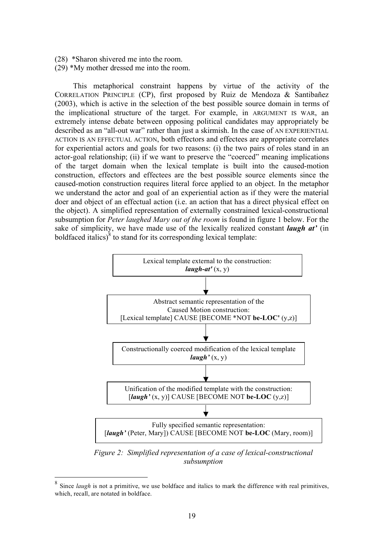- (28) \*Sharon shivered me into the room.
- (29) \*My mother dressed me into the room.

This metaphorical constraint happens by virtue of the activity of the CORRELATION PRINCIPLE (CP), first proposed by Ruiz de Mendoza & Santibañez (2003), which is active in the selection of the best possible source domain in terms of the implicational structure of the target. For example, in ARGUMENT IS WAR, an extremely intense debate between opposing political candidates may appropriately be described as an "all-out war" rather than just a skirmish. In the case of AN EXPERIENTIAL ACTION IS AN EFFECTUAL ACTION, both effectors and effectees are appropriate correlates for experiential actors and goals for two reasons: (i) the two pairs of roles stand in an actor-goal relationship; (ii) if we want to preserve the "coerced" meaning implications of the target domain when the lexical template is built into the caused-motion construction, effectors and effectees are the best possible source elements since the caused-motion construction requires literal force applied to an object. In the metaphor we understand the actor and goal of an experiential action as if they were the material doer and object of an effectual action (i.e. an action that has a direct physical effect on the object). A simplified representation of externally constrained lexical-constructional subsumption for *Peter laughed Mary out of the room* is found in figure 1 below. For the sake of simplicity, we have made use of the lexically realized constant *laugh at'* (in boldfaced italics) $\delta$  to stand for its corresponding lexical template:



*Figure 2: Simplified representation of a case of lexical-constructional subsumption*

Since *laugh* is not a primitive, we use boldface and italics to mark the difference with real primitives, which, recall, are notated in boldface.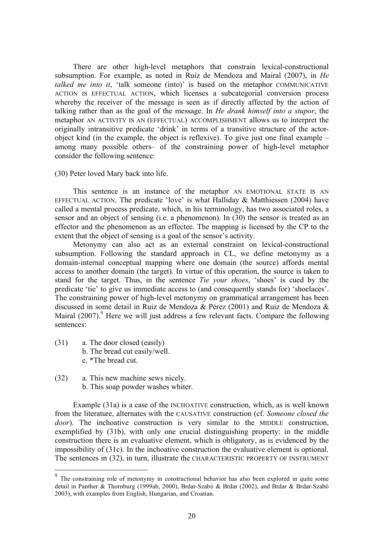There are other high-level metaphors that constrain lexical-constructional subsumption. For example, as noted in Ruiz de Mendoza and Mairal (2007), in *He talked me into it*, 'talk someone (into)' is based on the metaphor COMMUNICATIVE ACTION IS EFFECTUAL ACTION, which licenses a subcategorial conversion process whereby the receiver of the message is seen as if directly affected by the action of talking rather than as the goal of the message. In *He drank himself into a stupor*, the metaphor AN ACTIVITY IS AN (EFFECTUAL) ACCOMPLISHMENT allows us to interpret the originally intransitive predicate 'drink' in terms of a transitive structure of the actorobject kind (in the example, the object is reflexive). To give just one final example – among many possible others– of the constraining power of high-level metaphor consider the following sentence:

(30) Peter loved Mary back into life.

This sentence is an instance of the metaphor AN EMOTIONAL STATE IS AN EFFECTUAL ACTION. The predicate 'love' is what Halliday & Matthiessen (2004) have called a mental process predicate, which, in his terminology, has two associated roles, a sensor and an object of sensing (i.e. a phenomenon). In (30) the sensor is treated as an effector and the phenomenon as an effectee. The mapping is licensed by the CP to the extent that the object of sensing is a goal of the sensor's activity.

Metonymy can also act as an external constraint on lexical-constructional subsumption. Following the standard approach in CL, we define metonymy as a domain-internal conceptual mapping where one domain (the source) affords mental access to another domain (the target). In virtue of this operation, the source is taken to stand for the target. Thus, in the sentence *Tie your shoes*, 'shoes' is cued by the predicate 'tie' to give us immediate access to (and consequently stands for) 'shoelaces'. The constraining power of high-level metonymy on grammatical arrangement has been discussed in some detail in Ruiz de Mendoza & Pérez (2001) and Ruiz de Mendoza & Mairal  $(2007)$ . Here we will just address a few relevant facts. Compare the following sentences:

- (31) a. The door closed (easily)
	- b. The bread cut easily/well.
	- c. \*The bread cut.
- (32) a. This new machine sews nicely.
	- b. This soap powder washes whiter.

Example (31a) is a case of the INCHOATIVE construction, which, as is well known from the literature, alternates with the CAUSATIVE construction (cf. *Someone closed the door*). The inchoative construction is very similar to the MIDDLE construction, exemplified by (31b), with only one crucial distinguishing property: in the middle construction there is an evaluative element, which is obligatory, as is evidenced by the impossibility of (31c). In the inchoative construction the evaluative element is optional. The sentences in (32), in turn, illustrate the CHARACTERISTIC PROPERTY OF INSTRUMENT

<sup>&</sup>lt;sup>9</sup> The constraining role of metonymy in constructional behavior has also been explored in quite some detail in Panther & Thornburg (1999ab, 2000), Brdar-Szabó & Brdar (2002), and Brdar & Brdar-Szabó 2003), with examples from English, Hungarian, and Croatian.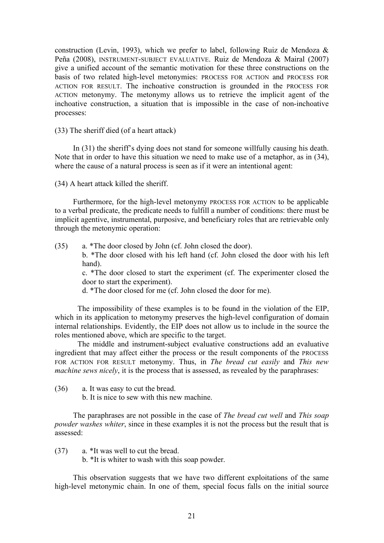construction (Levin, 1993), which we prefer to label, following Ruiz de Mendoza & Peña (2008), INSTRUMENT-SUBJECT EVALUATIVE. Ruiz de Mendoza & Mairal (2007) give a unified account of the semantic motivation for these three constructions on the basis of two related high-level metonymies: PROCESS FOR ACTION and PROCESS FOR ACTION FOR RESULT. The inchoative construction is grounded in the PROCESS FOR ACTION metonymy. The metonymy allows us to retrieve the implicit agent of the inchoative construction, a situation that is impossible in the case of non-inchoative processes:

(33) The sheriff died (of a heart attack)

In (31) the sheriff's dying does not stand for someone willfully causing his death. Note that in order to have this situation we need to make use of a metaphor, as in (34), where the cause of a natural process is seen as if it were an intentional agent:

(34) A heart attack killed the sheriff.

Furthermore, for the high-level metonymy PROCESS FOR ACTION to be applicable to a verbal predicate, the predicate needs to fulfill a number of conditions: there must be implicit agentive, instrumental, purposive, and beneficiary roles that are retrievable only through the metonymic operation:

(35) a. \*The door closed by John (cf. John closed the door).

b. \*The door closed with his left hand (cf. John closed the door with his left hand).

c. \*The door closed to start the experiment (cf. The experimenter closed the door to start the experiment).

d. \*The door closed for me (cf. John closed the door for me).

The impossibility of these examples is to be found in the violation of the EIP, which in its application to metonymy preserves the high-level configuration of domain internal relationships. Evidently, the EIP does not allow us to include in the source the roles mentioned above, which are specific to the target.

The middle and instrument-subject evaluative constructions add an evaluative ingredient that may affect either the process or the result components of the PROCESS FOR ACTION FOR RESULT metonymy. Thus, in *The bread cut easily* and *This new machine sews nicely*, it is the process that is assessed, as revealed by the paraphrases:

- (36) a. It was easy to cut the bread.
	- b. It is nice to sew with this new machine.

The paraphrases are not possible in the case of *The bread cut well* and *This soap powder washes whiter*, since in these examples it is not the process but the result that is assessed:

- (37) a. \*It was well to cut the bread.
	- b. \*It is whiter to wash with this soap powder.

This observation suggests that we have two different exploitations of the same high-level metonymic chain. In one of them, special focus falls on the initial source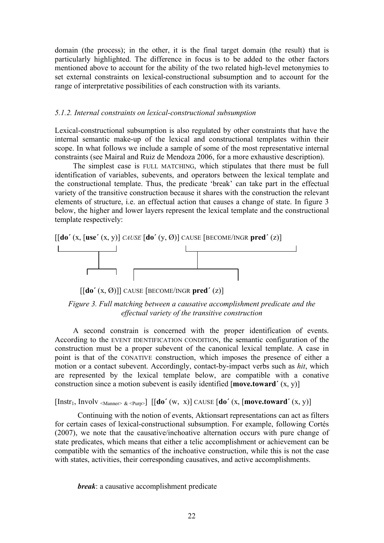domain (the process); in the other, it is the final target domain (the result) that is particularly highlighted. The difference in focus is to be added to the other factors mentioned above to account for the ability of the two related high-level metonymies to set external constraints on lexical-constructional subsumption and to account for the range of interpretative possibilities of each construction with its variants.

#### *5.1.2. Internal constraints on lexical-constructional subsumption*

Lexical-constructional subsumption is also regulated by other constraints that have the internal semantic make-up of the lexical and constructional templates within their scope. In what follows we include a sample of some of the most representative internal constraints (see Mairal and Ruiz de Mendoza 2006, for a more exhaustive description).

The simplest case is FULL MATCHING, which stipulates that there must be full identification of variables, subevents, and operators between the lexical template and the constructional template. Thus, the predicate 'break' can take part in the effectual variety of the transitive construction because it shares with the construction the relevant elements of structure, i.e. an effectual action that causes a change of state. In figure 3 below, the higher and lower layers represent the lexical template and the constructional template respectively:





 $\left[\begin{bmatrix} \text{do}'(x, \emptyset) \end{bmatrix} \right]$  CAUSE  $\left[\begin{bmatrix} \text{BECOME/INGR} \text{ pred}'(z) \end{bmatrix} \right]$ 

*Figure 3. Full matching between a causative accomplishment predicate and the effectual variety of the transitive construction*

A second constrain is concerned with the proper identification of events. According to the EVENT IDENTIFICATION CONDITION, the semantic configuration of the construction must be a proper subevent of the canonical lexical template. A case in point is that of the CONATIVE construction, which imposes the presence of either a motion or a contact subevent. Accordingly, contact-by-impact verbs such as *hit*, which are represented by the lexical template below, are compatible with a conative construction since a motion subevent is easily identified [**move.toward´** (x, y)]

 $[Inst_1, Involv <_{Manner > < Purp>}] [[do'(w, x)] CAUSE [do'(x, [move, toward'(x, y)])$ 

Continuing with the notion of events, Aktionsart representations can act as filters for certain cases of lexical-constructional subsumption. For example, following Cortés (2007), we note that the causative/inchoative alternation occurs with pure change of state predicates, which means that either a telic accomplishment or achievement can be compatible with the semantics of the inchoative construction, while this is not the case with states, activities, their corresponding causatives, and active accomplishments.

*break*: a causative accomplishment predicate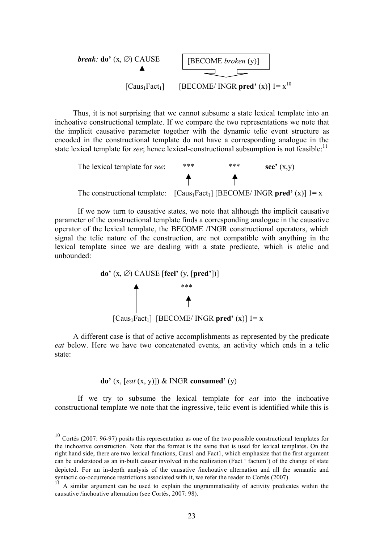*break:* do' (x, 
$$
\varnothing
$$
) CAUSE   
 [BECOME *broken* (y)]   
 [Caus<sub>1</sub>Fact<sub>1</sub>] [BECOME/ INGR pred' (x)]  $1 = x^{10}$ 

Thus, it is not surprising that we cannot subsume a state lexical template into an inchoative constructional template. If we compare the two representations we note that the implicit causative parameter together with the dynamic telic event structure as encoded in the constructional template do not have a corresponding analogue in the state lexical template for *see*; hence lexical-constructional subsumption is not feasible:<sup>11</sup>



If we now turn to causative states, we note that although the implicit causative parameter of the constructional template finds a corresponding analogue in the causative operator of the lexical template, the BECOME /INGR constructional operators, which signal the telic nature of the construction, are not compatible with anything in the lexical template since we are dealing with a state predicate, which is atelic and unbounded:

$$
\mathbf{do'}(x, \varnothing)
$$
CAUSE [feel' (y, [pred'])]  
  

$$
\uparrow
$$
  
[Caus<sub>1</sub>Fact<sub>1</sub>] [BECOME/ INGR pred' (x)] 1= x

A different case is that of active accomplishments as represented by the predicate *eat* below. Here we have two concatenated events, an activity which ends in a telic state:

$$
\mathbf{do'}(x, [eat(x, y)]) \& INGR \mathbf{ consumed'}(y)
$$

If we try to subsume the lexical template for *eat* into the inchoative constructional template we note that the ingressive, telic event is identified while this is

 $10$  Cortés (2007: 96-97) posits this representation as one of the two possible constructional templates for the inchoative construction. Note that the format is the same that is used for lexical templates. On the right hand side, there are two lexical functions, Caus1 and Fact1, which emphasize that the first argument can be understood as an in-built causer involved in the realization (Fact ' factum') of the change of state depicted. For an in-depth analysis of the causative /inchoative alternation and all the semantic and syntactic co-occurrence restrictions associated with it, we refer the reader to Cortés (2007).

<sup>11</sup> A similar argument can be used to explain the ungrammaticality of activity predicates within the causative /inchoative alternation (see Cortés, 2007: 98).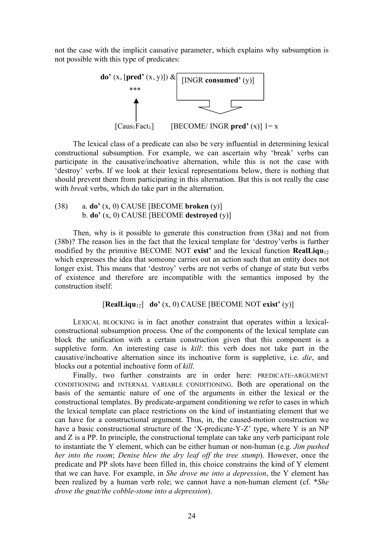not the case with the implicit causative parameter, which explains why subsumption is not possible with this type of predicates:



The lexical class of a predicate can also be very influential in determining lexical constructional subsumption. For example, we can ascertain why 'break' verbs can participate in the causative/inchoative alternation, while this is not the case with 'destroy' verbs. If we look at their lexical representations below, there is nothing that should prevent them from participating in this alternation. But this is not really the case with *break* verbs, which do take part in the alternation.

(38) a. **do'** (x, 0) CAUSE [BECOME **broken** (y)] b. **do'** (x, 0) CAUSE [BECOME **destroyed** (y)]

Then, why is it possible to generate this construction from (38a) and not from (38b)? The reason lies in the fact that the lexical template for 'destroy'verbs is further modified by the primitive BECOME NOT **exist'** and the lexical function **RealLiqu**<sup>12</sup> which expresses the idea that someone carries out an action such that an entity does not longer exist. This means that 'destroy' verbs are not verbs of change of state but verbs of existence and therefore are incompatible with the semantics imposed by the construction itself:

### [**RealLiqu**12] **do'** (x, 0) CAUSE [BECOME NOT **exist'** (y)]

LEXICAL BLOCKING is in fact another constraint that operates within a lexicalconstructional subsumption process. One of the components of the lexical template can block the unification with a certain construction given that this component is a suppletive form. An interesting case is *kill*: this verb does not take part in the causative/inchoative alternation since its inchoative form is suppletive, i.e. *die*, and blocks out a potential inchoative form of *kill*.

Finally, two further constraints are in order here: PREDICATE-ARGUMENT CONDITIONING and INTERNAL VARIABLE CONDITIONING. Both are operational on the basis of the semantic nature of one of the arguments in either the lexical or the constructional templates. By predicate-argument conditioning we refer to cases in which the lexical template can place restrictions on the kind of instantiating element that we can have for a constructional argument. Thus, in, the caused-motion construction we have a basic constructional structure of the 'X-predicate-Y-Z' type, where Y is an NP and Z is a PP. In principle, the constructional template can take any verb participant role to instantiate the Y element, which can be either human or non-human (e.g. *Jim pushed her into the room*; *Denise blew the dry leaf off the tree stump*). However, once the predicate and PP slots have been filled in, this choice constrains the kind of Y element that we can have. For example, in *She drove me into a depression*, the Y element has been realized by a human verb role; we cannot have a non-human element (cf. \**She drove the gnat/the cobble-stone into a depression*).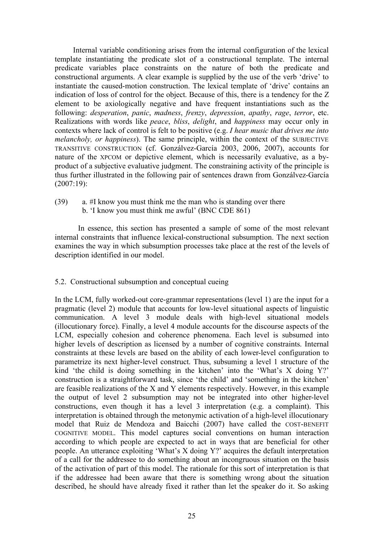Internal variable conditioning arises from the internal configuration of the lexical template instantiating the predicate slot of a constructional template. The internal predicate variables place constraints on the nature of both the predicate and constructional arguments. A clear example is supplied by the use of the verb 'drive' to instantiate the caused-motion construction. The lexical template of 'drive' contains an indication of loss of control for the object. Because of this, there is a tendency for the Z element to be axiologically negative and have frequent instantiations such as the following: *desperation*, *panic*, *madness*, *frenzy*, *depression*, *apathy*, *rage*, *terror*, etc. Realizations with words like *peace*, *bliss*, *delight*, and *happiness* may occur only in contexts where lack of control is felt to be positive (e.g. *I hear music that drives me into melancholy, or happiness*). The same principle, within the context of the SUBJECTIVE TRANSITIVE CONSTRUCTION (cf. Gonzálvez-García 2003, 2006, 2007), accounts for nature of the XPCOM or depictive element, which is necessarily evaluative, as a byproduct of a subjective evaluative judgment. The constraining activity of the principle is thus further illustrated in the following pair of sentences drawn from Gonzálvez-García (2007:19):

(39) a. #I know you must think me the man who is standing over there b. 'I know you must think me awful' (BNC CDE 861)

In essence, this section has presented a sample of some of the most relevant internal constraints that influence lexical-constructional subsumption. The next section examines the way in which subsumption processes take place at the rest of the levels of description identified in our model.

### 5.2. Constructional subsumption and conceptual cueing

In the LCM, fully worked-out core-grammar representations (level 1) are the input for a pragmatic (level 2) module that accounts for low-level situational aspects of linguistic communication. A level 3 module deals with high-level situational models (illocutionary force). Finally, a level 4 module accounts for the discourse aspects of the LCM, especially cohesion and coherence phenomena. Each level is subsumed into higher levels of description as licensed by a number of cognitive constraints. Internal constraints at these levels are based on the ability of each lower-level configuration to parametrize its next higher-level construct. Thus, subsuming a level 1 structure of the kind 'the child is doing something in the kitchen' into the 'What's X doing Y?' construction is a straightforward task, since 'the child' and 'something in the kitchen' are feasible realizations of the X and Y elements respectively. However, in this example the output of level 2 subsumption may not be integrated into other higher-level constructions, even though it has a level 3 interpretation (e.g. a complaint). This interpretation is obtained through the metonymic activation of a high-level illocutionary model that Ruiz de Mendoza and Baicchi (2007) have called the COST-BENEFIT COGNITIVE MODEL. This model captures social conventions on human interaction according to which people are expected to act in ways that are beneficial for other people. An utterance exploiting 'What's X doing Y?' acquires the default interpretation of a call for the addressee to do something about an incongruous situation on the basis of the activation of part of this model. The rationale for this sort of interpretation is that if the addressee had been aware that there is something wrong about the situation described, he should have already fixed it rather than let the speaker do it. So asking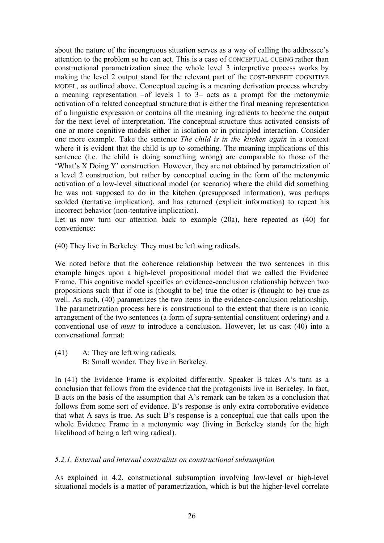about the nature of the incongruous situation serves as a way of calling the addressee's attention to the problem so he can act. This is a case of CONCEPTUAL CUEING rather than constructional parametrization since the whole level 3 interpretive process works by making the level 2 output stand for the relevant part of the COST-BENEFIT COGNITIVE MODEL, as outlined above. Conceptual cueing is a meaning derivation process whereby a meaning representation –of levels 1 to 3– acts as a prompt for the metonymic activation of a related conceptual structure that is either the final meaning representation of a linguistic expression or contains all the meaning ingredients to become the output for the next level of interpretation. The conceptual structure thus activated consists of one or more cognitive models either in isolation or in principled interaction. Consider one more example. Take the sentence *The child is in the kitchen again* in a context where it is evident that the child is up to something. The meaning implications of this sentence (i.e. the child is doing something wrong) are comparable to those of the 'What's X Doing Y' construction. However, they are not obtained by parametrization of a level 2 construction, but rather by conceptual cueing in the form of the metonymic activation of a low-level situational model (or scenario) where the child did something he was not supposed to do in the kitchen (presupposed information), was perhaps scolded (tentative implication), and has returned (explicit information) to repeat his incorrect behavior (non-tentative implication).

Let us now turn our attention back to example (20a), here repeated as (40) for convenience:

(40) They live in Berkeley. They must be left wing radicals.

We noted before that the coherence relationship between the two sentences in this example hinges upon a high-level propositional model that we called the Evidence Frame. This cognitive model specifies an evidence-conclusion relationship between two propositions such that if one is (thought to be) true the other is (thought to be) true as well. As such, (40) parametrizes the two items in the evidence-conclusion relationship. The parametrization process here is constructional to the extent that there is an iconic arrangement of the two sentences (a form of supra-sentential constituent ordering) and a conventional use of *must* to introduce a conclusion. However, let us cast (40) into a conversational format:

(41) A: They are left wing radicals. B: Small wonder. They live in Berkeley.

In (41) the Evidence Frame is exploited differently. Speaker B takes A's turn as a conclusion that follows from the evidence that the protagonists live in Berkeley. In fact, B acts on the basis of the assumption that A's remark can be taken as a conclusion that follows from some sort of evidence. B's response is only extra corroborative evidence that what A says is true. As such B's response is a conceptual cue that calls upon the whole Evidence Frame in a metonymic way (living in Berkeley stands for the high likelihood of being a left wing radical).

### *5.2.1. External and internal constraints on constructional subsumption*

As explained in 4.2, constructional subsumption involving low-level or high-level situational models is a matter of parametrization, which is but the higher-level correlate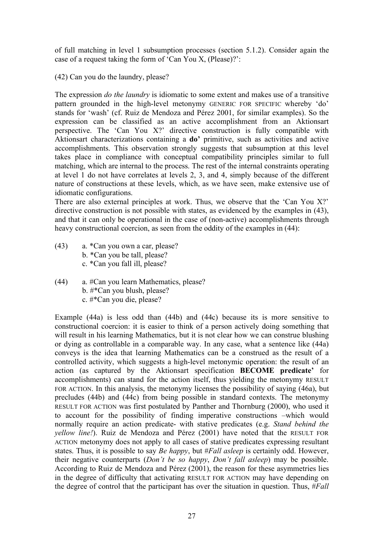of full matching in level 1 subsumption processes (section 5.1.2). Consider again the case of a request taking the form of 'Can You X, (Please)?':

(42) Can you do the laundry, please?

The expression *do the laundry* is idiomatic to some extent and makes use of a transitive pattern grounded in the high-level metonymy GENERIC FOR SPECIFIC whereby 'do' stands for 'wash' (cf. Ruiz de Mendoza and Pérez 2001, for similar examples). So the expression can be classified as an active accomplishment from an Aktionsart perspective. The 'Can You X?' directive construction is fully compatible with Aktionsart characterizations containing a **do'** primitive, such as activities and active accomplishments. This observation strongly suggests that subsumption at this level takes place in compliance with conceptual compatibility principles similar to full matching, which are internal to the process. The rest of the internal constraints operating at level 1 do not have correlates at levels 2, 3, and 4, simply because of the different nature of constructions at these levels, which, as we have seen, make extensive use of idiomatic configurations.

There are also external principles at work. Thus, we observe that the 'Can You X?' directive construction is not possible with states, as evidenced by the examples in (43), and that it can only be operational in the case of (non-active) accomplishments through heavy constructional coercion, as seen from the oddity of the examples in (44):

- (43) a. \*Can you own a car, please? b. \*Can you be tall, please? c. \*Can you fall ill, please?
- (44) a. #Can you learn Mathematics, please? b. #\*Can you blush, please? c. #\*Can you die, please?

Example (44a) is less odd than (44b) and (44c) because its is more sensitive to constructional coercion: it is easier to think of a person actively doing something that will result in his learning Mathematics, but it is not clear how we can construe blushing or dying as controllable in a comparable way. In any case, what a sentence like (44a) conveys is the idea that learning Mathematics can be a construed as the result of a controlled activity, which suggests a high-level metonymic operation: the result of an action (as captured by the Aktionsart specification **BECOME predicate'** for accomplishments) can stand for the action itself, thus yielding the metonymy RESULT FOR ACTION. In this analysis, the metonymy licenses the possibility of saying (46a), but precludes (44b) and (44c) from being possible in standard contexts. The metonymy RESULT FOR ACTION was first postulated by Panther and Thornburg (2000), who used it to account for the possibility of finding imperative constructions –which would normally require an action predicate- with stative predicates (e.g. *Stand behind the yellow line!*). Ruiz de Mendoza and Pérez (2001) have noted that the RESULT FOR ACTION metonymy does not apply to all cases of stative predicates expressing resultant states. Thus, it is possible to say *Be happy*, but #*Fall asleep* is certainly odd. However, their negative counterparts (*Don't be so happy*, *Don't fall asleep*) may be possible. According to Ruiz de Mendoza and Pérez (2001), the reason for these asymmetries lies in the degree of difficulty that activating RESULT FOR ACTION may have depending on the degree of control that the participant has over the situation in question. Thus, #*Fall*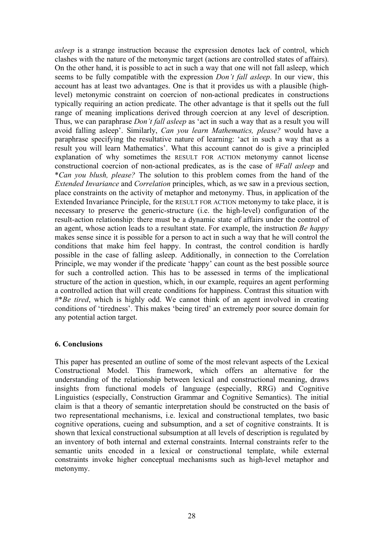*asleep* is a strange instruction because the expression denotes lack of control, which clashes with the nature of the metonymic target (actions are controlled states of affairs). On the other hand, it is possible to act in such a way that one will not fall asleep, which seems to be fully compatible with the expression *Don't fall asleep*. In our view, this account has at least two advantages. One is that it provides us with a plausible (highlevel) metonymic constraint on coercion of non-actional predicates in constructions typically requiring an action predicate. The other advantage is that it spells out the full range of meaning implications derived through coercion at any level of description. Thus, we can paraphrase *Don't fall asleep* as 'act in such a way that as a result you will avoid falling asleep'. Similarly, *Can you learn Mathematics, please?* would have a paraphrase specifying the resultative nature of learning: 'act in such a way that as a result you will learn Mathematics'. What this account cannot do is give a principled explanation of why sometimes the RESULT FOR ACTION metonymy cannot license constructional coercion of non-actional predicates, as is the case of *#Fall asleep* and \**Can you blush, please?* The solution to this problem comes from the hand of the *Extended Invariance* and *Correlation* principles, which, as we saw in a previous section, place constraints on the activity of metaphor and metonymy. Thus, in application of the Extended Invariance Principle, for the RESULT FOR ACTION metonymy to take place, it is necessary to preserve the generic-structure (i.e. the high-level) configuration of the result-action relationship: there must be a dynamic state of affairs under the control of an agent, whose action leads to a resultant state. For example, the instruction *Be happy* makes sense since it is possible for a person to act in such a way that he will control the conditions that make him feel happy. In contrast, the control condition is hardly possible in the case of falling asleep. Additionally, in connection to the Correlation Principle, we may wonder if the predicate 'happy' can count as the best possible source for such a controlled action. This has to be assessed in terms of the implicational structure of the action in question, which, in our example, requires an agent performing a controlled action that will create conditions for happiness. Contrast this situation with #\**Be tired*, which is highly odd. We cannot think of an agent involved in creating conditions of 'tiredness'. This makes 'being tired' an extremely poor source domain for any potential action target.

### **6. Conclusions**

This paper has presented an outline of some of the most relevant aspects of the Lexical Constructional Model. This framework, which offers an alternative for the understanding of the relationship between lexical and constructional meaning, draws insights from functional models of language (especially, RRG) and Cognitive Linguistics (especially, Construction Grammar and Cognitive Semantics). The initial claim is that a theory of semantic interpretation should be constructed on the basis of two representational mechanisms, i.e. lexical and constructional templates, two basic cognitive operations, cueing and subsumption, and a set of cognitive constraints. It is shown that lexical constructional subsumption at all levels of description is regulated by an inventory of both internal and external constraints. Internal constraints refer to the semantic units encoded in a lexical or constructional template, while external constraints invoke higher conceptual mechanisms such as high-level metaphor and metonymy.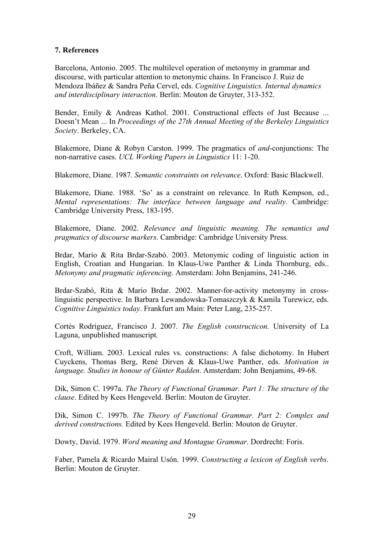# **7. References**

Barcelona, Antonio. 2005. The multilevel operation of metonymy in grammar and discourse, with particular attention to metonymic chains. In Francisco J. Ruiz de Mendoza Ibáñez & Sandra Peña Cervel, eds. *Cognitive Linguistics. Internal dynamics and interdisciplinary interaction*. Berlin: Mouton de Gruyter, 313-352.

Bender, Emily & Andreas Kathol. 2001. Constructional effects of Just Because ... Doesn't Mean ... In *Proceedings of the 27th Annual Meeting of the Berkeley Linguistics Society*. Berkeley, CA.

Blakemore, Diane & Robyn Carston. 1999. The pragmatics of *and*-conjunctions: The non-narrative cases. *UCL Working Papers in Linguistics* 11: 1-20.

Blakemore, Diane. 1987. *Semantic constraints on relevance*. Oxford: Basic Blackwell.

Blakemore, Diane. 1988. 'So' as a constraint on relevance. In Ruth Kempson, ed., *Mental representations: The interface between language and reality*. Cambridge: Cambridge University Press, 183-195.

Blakemore, Diane. 2002. *Relevance and linguistic meaning. The semantics and pragmatics of discourse markers*. Cambridge: Cambridge University Press.

Brdar, Mario & Rita Brdar-Szabó. 2003. Metonymic coding of linguistic action in English, Croatian and Hungarian. In Klaus-Uwe Panther & Linda Thornburg, eds.. *Metonymy and pragmatic inferencing*. Amsterdam: John Benjamins, 241-246.

Brdar-Szabó, Rita & Mario Brdar. 2002. Manner-for-activity metonymy in crosslinguistic perspective. In Barbara Lewandowska-Tomaszczyk & Kamila Turewicz, eds. *Cognitive Linguistics today*. Frankfurt am Main: Peter Lang, 235-257.

Cortés Rodríguez, Francisco J. 2007. *The English constructicon*. University of La Laguna, unpublished manuscript.

Croft, William. 2003. Lexical rules vs. constructions: A false dichotomy. In Hubert Cuyckens, Thomas Berg, René Dirven & Klaus-Uwe Panther, eds. *Motivation in language. Studies in honour of Günter Radden*. Amsterdam: John Benjamins, 49-68.

Dik, Simon C. 1997a. *The Theory of Functional Grammar. Part 1: The structure of the clause*. Edited by Kees Hengeveld. Berlin: Mouton de Gruyter.

Dik, Simon C. 1997b. *The Theory of Functional Grammar. Part 2: Complex and derived constructions.* Edited by Kees Hengeveld. Berlin: Mouton de Gruyter.

Dowty, David. 1979. *Word meaning and Montague Grammar*. Dordrecht: Foris.

Faber, Pamela & Ricardo Mairal Usón. 1999. *Constructing a lexicon of English verbs*. Berlin: Mouton de Gruyter.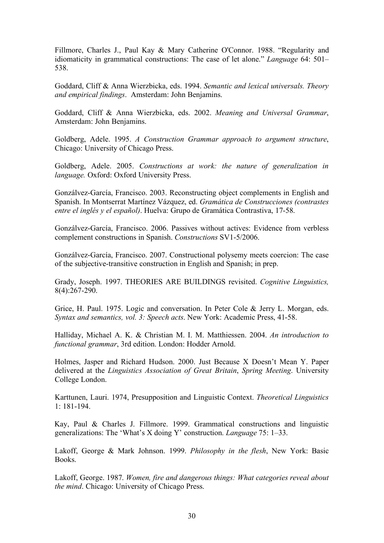Fillmore, Charles J., Paul Kay & Mary Catherine O'Connor. 1988. "Regularity and idiomaticity in grammatical constructions: The case of let alone." *Language* 64: 501– 538.

Goddard, Cliff & Anna Wierzbicka, eds. 1994. *Semantic and lexical universals. Theory and empirical findings*. Amsterdam: John Benjamins.

Goddard, Cliff & Anna Wierzbicka, eds. 2002. *Meaning and Universal Grammar*, Amsterdam: John Benjamins.

Goldberg, Adele. 1995. *A Construction Grammar approach to argument structure*, Chicago: University of Chicago Press.

Goldberg, Adele. 2005. *Constructions at work: the nature of generalization in language.* Oxford: Oxford University Press.

Gonzálvez-García, Francisco. 2003. Reconstructing object complements in English and Spanish. In Montserrat Martínez Vázquez, ed. *Gramática de Construcciones (contrastes entre el inglés y el español)*. Huelva: Grupo de Gramática Contrastiva, 17-58.

Gonzálvez-García, Francisco. 2006. Passives without actives: Evidence from verbless complement constructions in Spanish. *Constructions* SV1-5/2006.

Gonzálvez-García, Francisco. 2007. Constructional polysemy meets coercion: The case of the subjective-transitive construction in English and Spanish; in prep.

Grady, Joseph. 1997. THEORIES ARE BUILDINGS revisited. *Cognitive Linguistics,*  8(4):267-290.

Grice, H. Paul. 1975. Logic and conversation. In Peter Cole & Jerry L. Morgan, eds. *Syntax and semantics, vol. 3: Speech acts*. New York: Academic Press, 41-58.

Halliday, Michael A. K. & Christian M. I. M. Matthiessen. 2004. *An introduction to functional grammar*, 3rd edition. London: Hodder Arnold.

Holmes, Jasper and Richard Hudson. 2000. Just Because X Doesn't Mean Y. Paper delivered at the *Linguistics Association of Great Britain*, *Spring Meeting*. University College London.

Karttunen, Lauri. 1974, Presupposition and Linguistic Context. *Theoretical Linguistics*  1: 181-194.

Kay, Paul & Charles J. Fillmore. 1999. Grammatical constructions and linguistic generalizations: The 'What's X doing Y' construction. *Language* 75: 1–33.

Lakoff, George & Mark Johnson. 1999. *Philosophy in the flesh*, New York: Basic Books.

Lakoff, George. 1987. *Women, fire and dangerous things: What categories reveal about the mind*. Chicago: University of Chicago Press.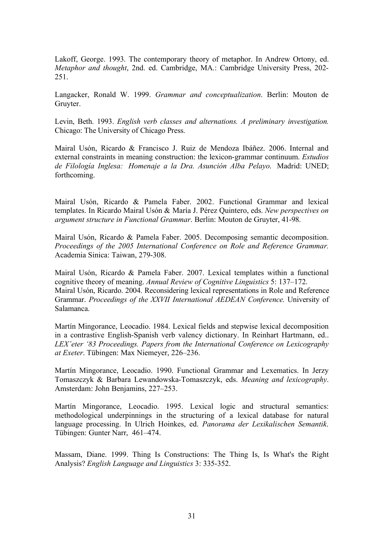Lakoff, George. 1993. The contemporary theory of metaphor. In Andrew Ortony, ed. *Metaphor and thought*, 2nd. ed. Cambridge, MA.: Cambridge University Press, 202- 251.

Langacker, Ronald W. 1999. *Grammar and conceptualization*. Berlin: Mouton de Gruyter.

Levin, Beth. 1993. *English verb classes and alternations. A preliminary investigation.* Chicago: The University of Chicago Press.

Mairal Usón, Ricardo & Francisco J. Ruiz de Mendoza Ibáñez. 2006. Internal and external constraints in meaning construction: the lexicon-grammar continuum. *Estudios de Filología Inglesa: Homenaje a la Dra. Asunción Alba Pelayo*. Madrid: UNED; forthcoming.

Mairal Usón, Ricardo & Pamela Faber. 2002. Functional Grammar and lexical templates. In Ricardo Mairal Usón & María J. Pérez Quintero, eds. *New perspectives on argument structure in Functional Grammar*. Berlin: Mouton de Gruyter, 41-98.

Mairal Usón, Ricardo & Pamela Faber. 2005. Decomposing semantic decomposition. *Proceedings of the 2005 International Conference on Role and Reference Grammar.*  Academia Sinica: Taiwan, 279-308.

Mairal Usón, Ricardo & Pamela Faber. 2007. Lexical templates within a functional cognitive theory of meaning. *Annual Review of Cognitive Linguistics* 5: 137–172. Mairal Usón, Ricardo. 2004. Reconsidering lexical representations in Role and Reference Grammar. *Proceedings of the XXVII International AEDEAN Conference*. University of Salamanca.

Martín Mingorance, Leocadio. 1984. Lexical fields and stepwise lexical decomposition in a contrastive English-Spanish verb valency dictionary. In Reinhart Hartmann, ed.. *LEX'eter '83 Proceedings. Papers from the International Conference on Lexicography at Exeter*. Tübingen: Max Niemeyer, 226–236.

Martín Mingorance, Leocadio. 1990. Functional Grammar and Lexematics. In Jerzy Tomaszczyk & Barbara Lewandowska-Tomaszczyk, eds. *Meaning and lexicography*. Amsterdam: John Benjamins, 227–253.

Martín Mingorance, Leocadio. 1995. Lexical logic and structural semantics: methodological underpinnings in the structuring of a lexical database for natural language processing. In Ulrich Hoinkes, ed. *Panorama der Lexikalischen Semantik*. Tübingen: Gunter Narr, 461–474.

Massam, Diane. 1999. Thing Is Constructions: The Thing Is, Is What's the Right Analysis? *English Language and Linguistics* 3: 335-352.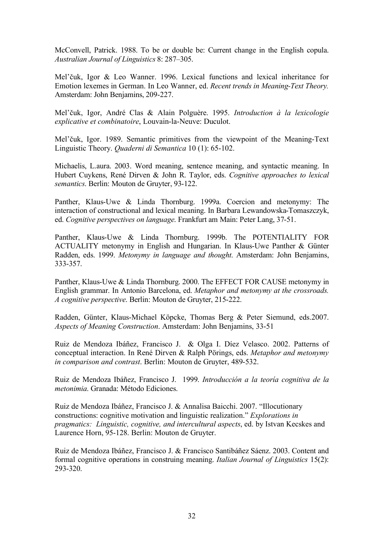McConvell, Patrick. 1988. To be or double be: Current change in the English copula. *Australian Journal of Linguistics* 8: 287–305.

Mel'čuk, Igor & Leo Wanner. 1996. Lexical functions and lexical inheritance for Emotion lexemes in German. In Leo Wanner, ed. *Recent trends in Meaning-Text Theory.*  Amsterdam: John Benjamins, 209-227.

Mel'čuk, Igor, André Clas & Alain Polguère. 1995. *Introduction à la lexicologie explicative et combinatoire*, Louvain-la-Neuve: Duculot.

Mel'čuk, Igor. 1989. Semantic primitives from the viewpoint of the Meaning-Text Linguistic Theory. *Quaderni di Semantica* 10 (1): 65-102.

Michaelis, L.aura. 2003. Word meaning, sentence meaning, and syntactic meaning. In Hubert Cuykens, René Dirven & John R. Taylor, eds. *Cognitive approaches to lexical semantics*. Berlin: Mouton de Gruyter, 93-122.

Panther, Klaus-Uwe & Linda Thornburg. 1999a. Coercion and metonymy: The interaction of constructional and lexical meaning. In Barbara Lewandowska-Tomaszczyk, ed. *Cognitive perspectives on language*. Frankfurt am Main: Peter Lang, 37-51.

Panther, Klaus-Uwe & Linda Thornburg. 1999b. The POTENTIALITY FOR ACTUALITY metonymy in English and Hungarian. In Klaus-Uwe Panther & Günter Radden, eds. 1999. *Metonymy in language and thought*. Amsterdam: John Benjamins, 333-357.

Panther, Klaus-Uwe & Linda Thornburg. 2000. The EFFECT FOR CAUSE metonymy in English grammar. In Antonio Barcelona, ed. *Metaphor and metonymy at the crossroads. A cognitive perspective*. Berlin: Mouton de Gruyter, 215-222.

Radden, Günter, Klaus-Michael Köpcke, Thomas Berg & Peter Siemund, eds.2007. *Aspects of Meaning Construction*. Amsterdam: John Benjamins, 33-51

Ruiz de Mendoza Ibáñez, Francisco J. & Olga I. Díez Velasco. 2002. Patterns of conceptual interaction. In René Dirven & Ralph Pörings, eds. *Metaphor and metonymy in comparison and contrast*. Berlin: Mouton de Gruyter, 489-532.

Ruiz de Mendoza Ibáñez, Francisco J. 1999. *Introducción a la teoría cognitiva de la metonimia*. Granada: Método Ediciones.

Ruiz de Mendoza Ibáñez, Francisco J. & Annalisa Baicchi. 2007. "Illocutionary constructions: cognitive motivation and linguistic realization." *Explorations in pragmatics: Linguistic, cognitive, and intercultural aspects*, ed. by Istvan Kecskes and Laurence Horn, 95-128. Berlin: Mouton de Gruyter.

Ruiz de Mendoza Ibáñez, Francisco J. & Francisco Santibáñez Sáenz. 2003. Content and formal cognitive operations in construing meaning. *Italian Journal of Linguistics* 15(2): 293-320.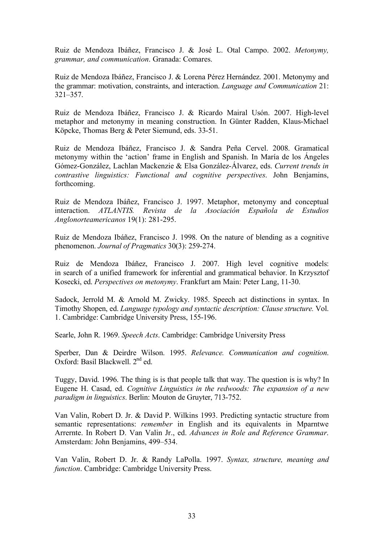Ruiz de Mendoza Ibáñez, Francisco J. & José L. Otal Campo. 2002. *Metonymy, grammar, and communication*. Granada: Comares.

Ruiz de Mendoza Ibáñez, Francisco J. & Lorena Pérez Hernández. 2001. Metonymy and the grammar: motivation, constraints, and interaction. *Language and Communication* 21: 321–357.

Ruiz de Mendoza Ibáñez, Francisco J. & Ricardo Mairal Usón. 2007. High-level metaphor and metonymy in meaning construction. In Günter Radden, Klaus-Michael Köpcke, Thomas Berg & Peter Siemund, eds. 33-51.

Ruiz de Mendoza Ibáñez, Francisco J. & Sandra Peña Cervel. 2008. Gramatical metonymy within the 'action' frame in English and Spanish. In María de los Ángeles Gómez-González, Lachlan Mackenzie & Elsa González-Álvarez, eds. *Current trends in contrastive linguistics: Functional and cognitive perspectives*. John Benjamins, forthcoming.

Ruiz de Mendoza Ibáñez, Francisco J. 1997. Metaphor, metonymy and conceptual interaction. *ATLANTIS. Revista de la Asociación Española de Estudios Anglonorteamericanos* 19(1): 281-295.

Ruiz de Mendoza Ibáñez, Francisco J. 1998. On the nature of blending as a cognitive phenomenon. *Journal of Pragmatics* 30(3): 259-274.

Ruiz de Mendoza Ibáñez, Francisco J. 2007. High level cognitive models: in search of a unified framework for inferential and grammatical behavior. In Krzysztof Kosecki, ed. *Perspectives on metonymy*. Frankfurt am Main: Peter Lang, 11-30.

Sadock, Jerrold M. & Arnold M. Zwicky. 1985. Speech act distinctions in syntax. In Timothy Shopen, ed. *Language typology and syntactic description: Clause structure.* Vol. 1. Cambridge: Cambridge University Press, 155-196.

Searle, John R. 1969. *Speech Acts*. Cambridge: Cambridge University Press

Sperber, Dan & Deirdre Wilson. 1995. *Relevance. Communication and cognition*. Oxford: Basil Blackwell. 2<sup>nd</sup> ed.

Tuggy, David. 1996. The thing is is that people talk that way. The question is is why? In Eugene H. Casad, ed. *Cognitive Linguistics in the redwoods: The expansion of a new paradigm in linguistics*. Berlin: Mouton de Gruyter, 713-752.

Van Valin, Robert D. Jr. & David P. Wilkins 1993. Predicting syntactic structure from semantic representations: *remember* in English and its equivalents in Mparntwe Arrernte. In Robert D. Van Valin Jr., ed. *Advances in Role and Reference Grammar*. Amsterdam: John Benjamins, 499–534.

Van Valin, Robert D. Jr. & Randy LaPolla. 1997. *Syntax, structure, meaning and function*. Cambridge: Cambridge University Press.